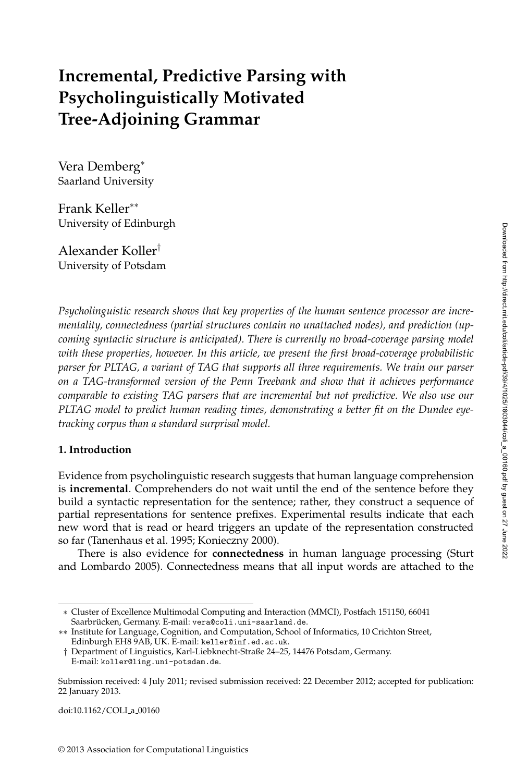# **Incremental, Predictive Parsing with Psycholinguistically Motivated Tree-Adjoining Grammar**

Vera Demberg<sup>∗</sup> Saarland University

Frank Keller∗∗ University of Edinburgh

Alexander Koller† University of Potsdam

*Psycholinguistic research shows that key properties of the human sentence processor are incrementality, connectedness (partial structures contain no unattached nodes), and prediction (upcoming syntactic structure is anticipated). There is currently no broad-coverage parsing model with these properties, however. In this article, we present the first broad-coverage probabilistic parser for PLTAG, a variant of TAG that supports all three requirements. We train our parser on a TAG-transformed version of the Penn Treebank and show that it achieves performance comparable to existing TAG parsers that are incremental but not predictive. We also use our PLTAG model to predict human reading times, demonstrating a better fit on the Dundee eyetracking corpus than a standard surprisal model.*

### **1. Introduction**

Evidence from psycholinguistic research suggests that human language comprehension is **incremental**. Comprehenders do not wait until the end of the sentence before they build a syntactic representation for the sentence; rather, they construct a sequence of partial representations for sentence prefixes. Experimental results indicate that each new word that is read or heard triggers an update of the representation constructed so far (Tanenhaus et al. 1995; Konieczny 2000).

There is also evidence for **connectedness** in human language processing (Sturt and Lombardo 2005). Connectedness means that all input words are attached to the

doi:10.1162/COLI a 00160

<sup>∗</sup> Cluster of Excellence Multimodal Computing and Interaction (MMCI), Postfach 151150, 66041 Saarbrücken, Germany. E-mail: vera@coli.uni-saarland.de.

<sup>∗∗</sup> Institute for Language, Cognition, and Computation, School of Informatics, 10 Crichton Street, Edinburgh EH8 9AB, UK. E-mail: keller@inf.ed.ac.uk.

<sup>†</sup> Department of Linguistics, Karl-Liebknecht-Straße 24–25, 14476 Potsdam, Germany. E-mail: koller@ling.uni-potsdam.de.

Submission received: 4 July 2011; revised submission received: 22 December 2012; accepted for publication: 22 January 2013.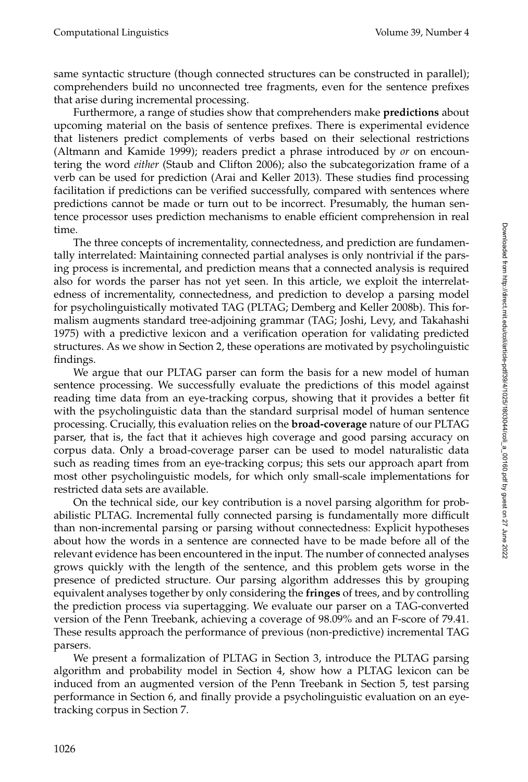same syntactic structure (though connected structures can be constructed in parallel); comprehenders build no unconnected tree fragments, even for the sentence prefixes that arise during incremental processing.

Furthermore, a range of studies show that comprehenders make **predictions** about upcoming material on the basis of sentence prefixes. There is experimental evidence that listeners predict complements of verbs based on their selectional restrictions (Altmann and Kamide 1999); readers predict a phrase introduced by *or* on encountering the word *either* (Staub and Clifton 2006); also the subcategorization frame of a verb can be used for prediction (Arai and Keller 2013). These studies find processing facilitation if predictions can be verified successfully, compared with sentences where predictions cannot be made or turn out to be incorrect. Presumably, the human sentence processor uses prediction mechanisms to enable efficient comprehension in real time.

The three concepts of incrementality, connectedness, and prediction are fundamentally interrelated: Maintaining connected partial analyses is only nontrivial if the parsing process is incremental, and prediction means that a connected analysis is required also for words the parser has not yet seen. In this article, we exploit the interrelatedness of incrementality, connectedness, and prediction to develop a parsing model for psycholinguistically motivated TAG (PLTAG; Demberg and Keller 2008b). This formalism augments standard tree-adjoining grammar (TAG; Joshi, Levy, and Takahashi 1975) with a predictive lexicon and a verification operation for validating predicted structures. As we show in Section 2, these operations are motivated by psycholinguistic findings.

We argue that our PLTAG parser can form the basis for a new model of human sentence processing. We successfully evaluate the predictions of this model against reading time data from an eye-tracking corpus, showing that it provides a better fit with the psycholinguistic data than the standard surprisal model of human sentence processing. Crucially, this evaluation relies on the **broad-coverage** nature of our PLTAG parser, that is, the fact that it achieves high coverage and good parsing accuracy on corpus data. Only a broad-coverage parser can be used to model naturalistic data such as reading times from an eye-tracking corpus; this sets our approach apart from most other psycholinguistic models, for which only small-scale implementations for restricted data sets are available.

On the technical side, our key contribution is a novel parsing algorithm for probabilistic PLTAG. Incremental fully connected parsing is fundamentally more difficult than non-incremental parsing or parsing without connectedness: Explicit hypotheses about how the words in a sentence are connected have to be made before all of the relevant evidence has been encountered in the input. The number of connected analyses grows quickly with the length of the sentence, and this problem gets worse in the presence of predicted structure. Our parsing algorithm addresses this by grouping equivalent analyses together by only considering the **fringes** of trees, and by controlling the prediction process via supertagging. We evaluate our parser on a TAG-converted version of the Penn Treebank, achieving a coverage of 98.09% and an F-score of 79.41. These results approach the performance of previous (non-predictive) incremental TAG parsers.

We present a formalization of PLTAG in Section 3, introduce the PLTAG parsing algorithm and probability model in Section 4, show how a PLTAG lexicon can be induced from an augmented version of the Penn Treebank in Section 5, test parsing performance in Section 6, and finally provide a psycholinguistic evaluation on an eyetracking corpus in Section 7.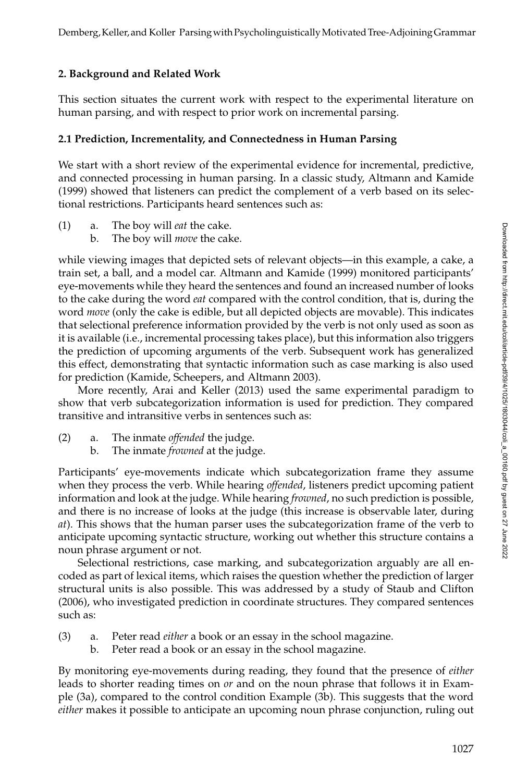### **2. Background and Related Work**

This section situates the current work with respect to the experimental literature on human parsing, and with respect to prior work on incremental parsing.

### **2.1 Prediction, Incrementality, and Connectedness in Human Parsing**

We start with a short review of the experimental evidence for incremental, predictive, and connected processing in human parsing. In a classic study, Altmann and Kamide (1999) showed that listeners can predict the complement of a verb based on its selectional restrictions. Participants heard sentences such as:

- (1) a. The boy will *eat* the cake.
	- b. The boy will *move* the cake.

while viewing images that depicted sets of relevant objects—in this example, a cake, a train set, a ball, and a model car. Altmann and Kamide (1999) monitored participants' eye-movements while they heard the sentences and found an increased number of looks to the cake during the word *eat* compared with the control condition, that is, during the word *move* (only the cake is edible, but all depicted objects are movable). This indicates that selectional preference information provided by the verb is not only used as soon as it is available (i.e., incremental processing takes place), but this information also triggers the prediction of upcoming arguments of the verb. Subsequent work has generalized this effect, demonstrating that syntactic information such as case marking is also used for prediction (Kamide, Scheepers, and Altmann 2003).

More recently, Arai and Keller (2013) used the same experimental paradigm to show that verb subcategorization information is used for prediction. They compared transitive and intransitive verbs in sentences such as:

- (2) a. The inmate *offended* the judge.
	- b. The inmate *frowned* at the judge.

Participants' eye-movements indicate which subcategorization frame they assume when they process the verb. While hearing *offended*, listeners predict upcoming patient information and look at the judge. While hearing *frowned*, no such prediction is possible, and there is no increase of looks at the judge (this increase is observable later, during *at*). This shows that the human parser uses the subcategorization frame of the verb to anticipate upcoming syntactic structure, working out whether this structure contains a noun phrase argument or not.

Selectional restrictions, case marking, and subcategorization arguably are all encoded as part of lexical items, which raises the question whether the prediction of larger structural units is also possible. This was addressed by a study of Staub and Clifton (2006), who investigated prediction in coordinate structures. They compared sentences such as:

- (3) a. Peter read *either* a book or an essay in the school magazine.
	- b. Peter read a book or an essay in the school magazine.

By monitoring eye-movements during reading, they found that the presence of *either* leads to shorter reading times on *or* and on the noun phrase that follows it in Example (3a), compared to the control condition Example (3b). This suggests that the word *either* makes it possible to anticipate an upcoming noun phrase conjunction, ruling out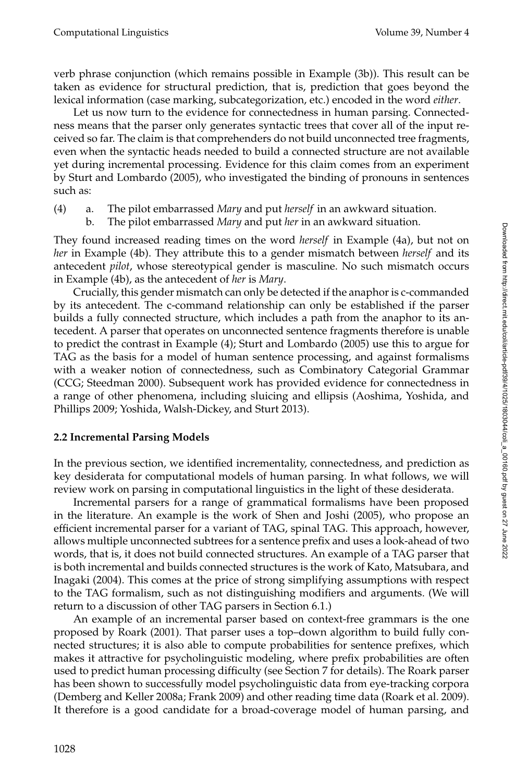verb phrase conjunction (which remains possible in Example (3b)). This result can be taken as evidence for structural prediction, that is, prediction that goes beyond the lexical information (case marking, subcategorization, etc.) encoded in the word *either*.

Let us now turn to the evidence for connectedness in human parsing. Connectedness means that the parser only generates syntactic trees that cover all of the input received so far. The claim is that comprehenders do not build unconnected tree fragments, even when the syntactic heads needed to build a connected structure are not available yet during incremental processing. Evidence for this claim comes from an experiment by Sturt and Lombardo (2005), who investigated the binding of pronouns in sentences such as:

- (4) a. The pilot embarrassed *Mary* and put *herself* in an awkward situation.
	- b. The pilot embarrassed *Mary* and put *her* in an awkward situation.

They found increased reading times on the word *herself* in Example (4a), but not on *her* in Example (4b). They attribute this to a gender mismatch between *herself* and its antecedent *pilot*, whose stereotypical gender is masculine. No such mismatch occurs in Example (4b), as the antecedent of *her* is *Mary*.

Crucially, this gender mismatch can only be detected if the anaphor is c-commanded by its antecedent. The c-command relationship can only be established if the parser builds a fully connected structure, which includes a path from the anaphor to its antecedent. A parser that operates on unconnected sentence fragments therefore is unable to predict the contrast in Example (4); Sturt and Lombardo (2005) use this to argue for TAG as the basis for a model of human sentence processing, and against formalisms with a weaker notion of connectedness, such as Combinatory Categorial Grammar (CCG; Steedman 2000). Subsequent work has provided evidence for connectedness in a range of other phenomena, including sluicing and ellipsis (Aoshima, Yoshida, and Phillips 2009; Yoshida, Walsh-Dickey, and Sturt 2013).

# **2.2 Incremental Parsing Models**

In the previous section, we identified incrementality, connectedness, and prediction as key desiderata for computational models of human parsing. In what follows, we will review work on parsing in computational linguistics in the light of these desiderata.

Incremental parsers for a range of grammatical formalisms have been proposed in the literature. An example is the work of Shen and Joshi (2005), who propose an efficient incremental parser for a variant of TAG, spinal TAG. This approach, however, allows multiple unconnected subtrees for a sentence prefix and uses a look-ahead of two words, that is, it does not build connected structures. An example of a TAG parser that is both incremental and builds connected structures is the work of Kato, Matsubara, and Inagaki (2004). This comes at the price of strong simplifying assumptions with respect to the TAG formalism, such as not distinguishing modifiers and arguments. (We will return to a discussion of other TAG parsers in Section 6.1.)

An example of an incremental parser based on context-free grammars is the one proposed by Roark (2001). That parser uses a top–down algorithm to build fully connected structures; it is also able to compute probabilities for sentence prefixes, which makes it attractive for psycholinguistic modeling, where prefix probabilities are often used to predict human processing difficulty (see Section 7 for details). The Roark parser has been shown to successfully model psycholinguistic data from eye-tracking corpora (Demberg and Keller 2008a; Frank 2009) and other reading time data (Roark et al. 2009). It therefore is a good candidate for a broad-coverage model of human parsing, and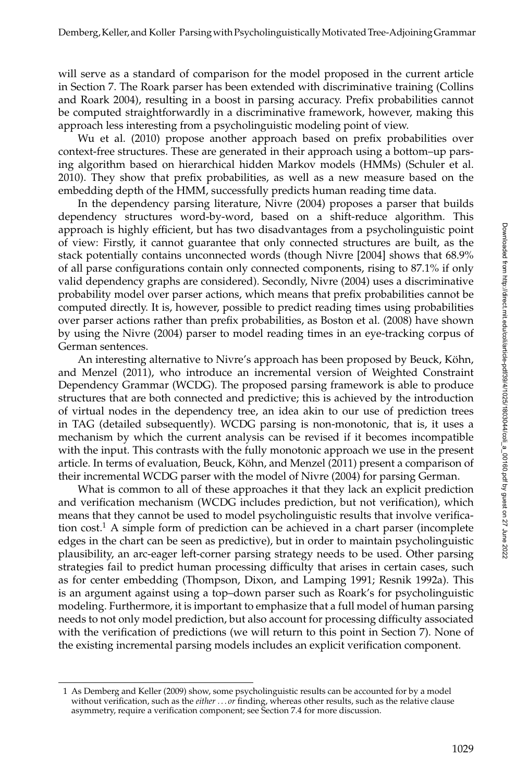will serve as a standard of comparison for the model proposed in the current article in Section 7. The Roark parser has been extended with discriminative training (Collins and Roark 2004), resulting in a boost in parsing accuracy. Prefix probabilities cannot be computed straightforwardly in a discriminative framework, however, making this approach less interesting from a psycholinguistic modeling point of view.

Wu et al. (2010) propose another approach based on prefix probabilities over context-free structures. These are generated in their approach using a bottom–up parsing algorithm based on hierarchical hidden Markov models (HMMs) (Schuler et al. 2010). They show that prefix probabilities, as well as a new measure based on the embedding depth of the HMM, successfully predicts human reading time data.

In the dependency parsing literature, Nivre (2004) proposes a parser that builds dependency structures word-by-word, based on a shift-reduce algorithm. This approach is highly efficient, but has two disadvantages from a psycholinguistic point of view: Firstly, it cannot guarantee that only connected structures are built, as the stack potentially contains unconnected words (though Nivre [2004] shows that 68.9% of all parse configurations contain only connected components, rising to 87.1% if only valid dependency graphs are considered). Secondly, Nivre (2004) uses a discriminative probability model over parser actions, which means that prefix probabilities cannot be computed directly. It is, however, possible to predict reading times using probabilities over parser actions rather than prefix probabilities, as Boston et al. (2008) have shown by using the Nivre (2004) parser to model reading times in an eye-tracking corpus of German sentences.

An interesting alternative to Nivre's approach has been proposed by Beuck, Köhn, and Menzel (2011), who introduce an incremental version of Weighted Constraint Dependency Grammar (WCDG). The proposed parsing framework is able to produce structures that are both connected and predictive; this is achieved by the introduction of virtual nodes in the dependency tree, an idea akin to our use of prediction trees in TAG (detailed subsequently). WCDG parsing is non-monotonic, that is, it uses a mechanism by which the current analysis can be revised if it becomes incompatible with the input. This contrasts with the fully monotonic approach we use in the present article. In terms of evaluation, Beuck, Köhn, and Menzel (2011) present a comparison of their incremental WCDG parser with the model of Nivre (2004) for parsing German.

What is common to all of these approaches it that they lack an explicit prediction and verification mechanism (WCDG includes prediction, but not verification), which means that they cannot be used to model psycholinguistic results that involve verification  $cost<sup>1</sup>$  A simple form of prediction can be achieved in a chart parser (incomplete edges in the chart can be seen as predictive), but in order to maintain psycholinguistic plausibility, an arc-eager left-corner parsing strategy needs to be used. Other parsing strategies fail to predict human processing difficulty that arises in certain cases, such as for center embedding (Thompson, Dixon, and Lamping 1991; Resnik 1992a). This is an argument against using a top–down parser such as Roark's for psycholinguistic modeling. Furthermore, it is important to emphasize that a full model of human parsing needs to not only model prediction, but also account for processing difficulty associated with the verification of predictions (we will return to this point in Section 7). None of the existing incremental parsing models includes an explicit verification component.

<sup>1</sup> As Demberg and Keller (2009) show, some psycholinguistic results can be accounted for by a model without verification, such as the *either . . . or* finding, whereas other results, such as the relative clause asymmetry, require a verification component; see Section 7.4 for more discussion.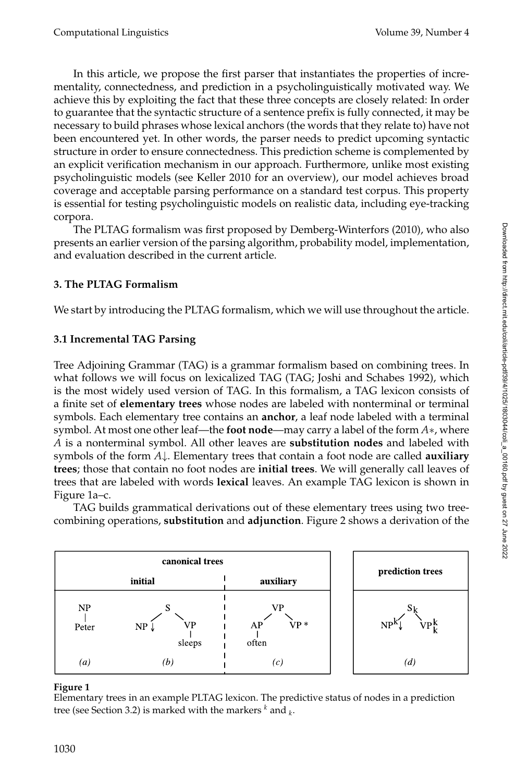In this article, we propose the first parser that instantiates the properties of incrementality, connectedness, and prediction in a psycholinguistically motivated way. We achieve this by exploiting the fact that these three concepts are closely related: In order to guarantee that the syntactic structure of a sentence prefix is fully connected, it may be necessary to build phrases whose lexical anchors (the words that they relate to) have not been encountered yet. In other words, the parser needs to predict upcoming syntactic structure in order to ensure connectedness. This prediction scheme is complemented by an explicit verification mechanism in our approach. Furthermore, unlike most existing psycholinguistic models (see Keller 2010 for an overview), our model achieves broad coverage and acceptable parsing performance on a standard test corpus. This property is essential for testing psycholinguistic models on realistic data, including eye-tracking corpora.

The PLTAG formalism was first proposed by Demberg-Winterfors (2010), who also presents an earlier version of the parsing algorithm, probability model, implementation, and evaluation described in the current article.

# **3. The PLTAG Formalism**

We start by introducing the PLTAG formalism, which we will use throughout the article.

# **3.1 Incremental TAG Parsing**

Tree Adjoining Grammar (TAG) is a grammar formalism based on combining trees. In what follows we will focus on lexicalized TAG (TAG; Joshi and Schabes 1992), which is the most widely used version of TAG. In this formalism, a TAG lexicon consists of a finite set of **elementary trees** whose nodes are labeled with nonterminal or terminal symbols. Each elementary tree contains an **anchor**, a leaf node labeled with a terminal symbol. At most one other leaf—the **foot node**—may carry a label of the form *A*∗, where *A* is a nonterminal symbol. All other leaves are **substitution nodes** and labeled with symbols of the form *A*↓. Elementary trees that contain a foot node are called **auxiliary trees**; those that contain no foot nodes are **initial trees**. We will generally call leaves of trees that are labeled with words **lexical** leaves. An example TAG lexicon is shown in Figure 1a–c.

TAG builds grammatical derivations out of these elementary trees using two treecombining operations, **substitution** and **adjunction**. Figure 2 shows a derivation of the



# **Figure 1**

Elementary trees in an example PLTAG lexicon. The predictive status of nodes in a prediction tree (see Section 3.2) is marked with the markers  $k$  and  $k$ .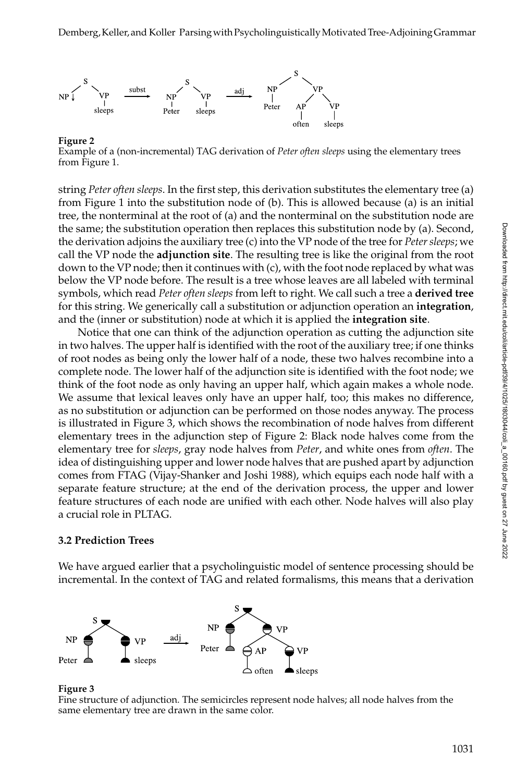

#### **Figure 2**

Example of a (non-incremental) TAG derivation of *Peter often sleeps* using the elementary trees from Figure 1.

string *Peter often sleeps*. In the first step, this derivation substitutes the elementary tree (a) from Figure 1 into the substitution node of (b). This is allowed because (a) is an initial tree, the nonterminal at the root of (a) and the nonterminal on the substitution node are the same; the substitution operation then replaces this substitution node by (a). Second, the derivation adjoins the auxiliary tree (c) into the VP node of the tree for *Peter sleeps*; we call the VP node the **adjunction site**. The resulting tree is like the original from the root down to the VP node; then it continues with (c), with the foot node replaced by what was below the VP node before. The result is a tree whose leaves are all labeled with terminal symbols, which read *Peter often sleeps* from left to right. We call such a tree a **derived tree** for this string. We generically call a substitution or adjunction operation an **integration**, and the (inner or substitution) node at which it is applied the **integration site**.

Notice that one can think of the adjunction operation as cutting the adjunction site in two halves. The upper half is identified with the root of the auxiliary tree; if one thinks of root nodes as being only the lower half of a node, these two halves recombine into a complete node. The lower half of the adjunction site is identified with the foot node; we think of the foot node as only having an upper half, which again makes a whole node. We assume that lexical leaves only have an upper half, too; this makes no difference, as no substitution or adjunction can be performed on those nodes anyway. The process is illustrated in Figure 3, which shows the recombination of node halves from different elementary trees in the adjunction step of Figure 2: Black node halves come from the elementary tree for *sleeps*, gray node halves from *Peter*, and white ones from *often*. The idea of distinguishing upper and lower node halves that are pushed apart by adjunction comes from FTAG (Vijay-Shanker and Joshi 1988), which equips each node half with a separate feature structure; at the end of the derivation process, the upper and lower feature structures of each node are unified with each other. Node halves will also play a crucial role in PLTAG.

### **3.2 Prediction Trees**

We have argued earlier that a psycholinguistic model of sentence processing should be incremental. In the context of TAG and related formalisms, this means that a derivation



#### **Figure 3**

Fine structure of adjunction. The semicircles represent node halves; all node halves from the same elementary tree are drawn in the same color.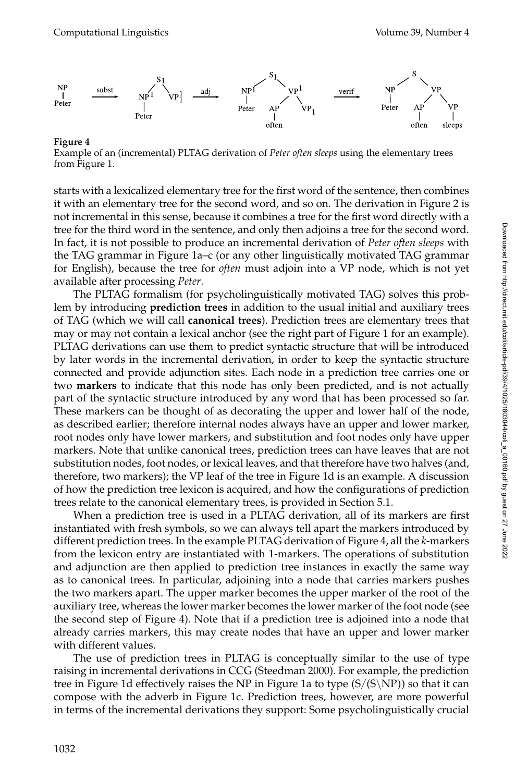

### **Figure 4**

Example of an (incremental) PLTAG derivation of *Peter often sleeps* using the elementary trees from Figure 1.

starts with a lexicalized elementary tree for the first word of the sentence, then combines it with an elementary tree for the second word, and so on. The derivation in Figure 2 is not incremental in this sense, because it combines a tree for the first word directly with a tree for the third word in the sentence, and only then adjoins a tree for the second word. In fact, it is not possible to produce an incremental derivation of *Peter often sleeps* with the TAG grammar in Figure 1a–c (or any other linguistically motivated TAG grammar for English), because the tree for *often* must adjoin into a VP node, which is not yet available after processing *Peter*.

The PLTAG formalism (for psycholinguistically motivated TAG) solves this problem by introducing **prediction trees** in addition to the usual initial and auxiliary trees of TAG (which we will call **canonical trees**). Prediction trees are elementary trees that may or may not contain a lexical anchor (see the right part of Figure 1 for an example). PLTAG derivations can use them to predict syntactic structure that will be introduced by later words in the incremental derivation, in order to keep the syntactic structure connected and provide adjunction sites. Each node in a prediction tree carries one or two **markers** to indicate that this node has only been predicted, and is not actually part of the syntactic structure introduced by any word that has been processed so far. These markers can be thought of as decorating the upper and lower half of the node, as described earlier; therefore internal nodes always have an upper and lower marker, root nodes only have lower markers, and substitution and foot nodes only have upper markers. Note that unlike canonical trees, prediction trees can have leaves that are not substitution nodes, foot nodes, or lexical leaves, and that therefore have two halves (and, therefore, two markers); the VP leaf of the tree in Figure 1d is an example. A discussion of how the prediction tree lexicon is acquired, and how the configurations of prediction trees relate to the canonical elementary trees, is provided in Section 5.1.

When a prediction tree is used in a PLTAG derivation, all of its markers are first instantiated with fresh symbols, so we can always tell apart the markers introduced by different prediction trees. In the example PLTAG derivation of Figure 4, all the *k*-markers from the lexicon entry are instantiated with 1-markers. The operations of substitution and adjunction are then applied to prediction tree instances in exactly the same way as to canonical trees. In particular, adjoining into a node that carries markers pushes the two markers apart. The upper marker becomes the upper marker of the root of the auxiliary tree, whereas the lower marker becomes the lower marker of the foot node (see the second step of Figure 4). Note that if a prediction tree is adjoined into a node that already carries markers, this may create nodes that have an upper and lower marker with different values.

The use of prediction trees in PLTAG is conceptually similar to the use of type raising in incremental derivations in CCG (Steedman 2000). For example, the prediction tree in Figure 1d effectively raises the NP in Figure 1a to type  $(S/(S\backslash NP))$  so that it can compose with the adverb in Figure 1c. Prediction trees, however, are more powerful in terms of the incremental derivations they support: Some psycholinguistically crucial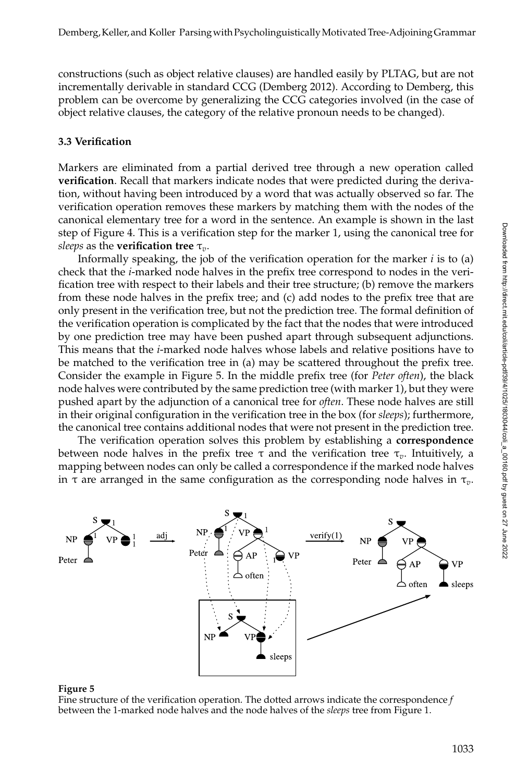constructions (such as object relative clauses) are handled easily by PLTAG, but are not incrementally derivable in standard CCG (Demberg 2012). According to Demberg, this problem can be overcome by generalizing the CCG categories involved (in the case of object relative clauses, the category of the relative pronoun needs to be changed).

#### **3.3 Verification**

Markers are eliminated from a partial derived tree through a new operation called **verification**. Recall that markers indicate nodes that were predicted during the derivation, without having been introduced by a word that was actually observed so far. The verification operation removes these markers by matching them with the nodes of the canonical elementary tree for a word in the sentence. An example is shown in the last step of Figure 4. This is a verification step for the marker 1, using the canonical tree for *sleeps* as the **verification tree**  $\tau_v$ .

Informally speaking, the job of the verification operation for the marker *i* is to (a) check that the *i*-marked node halves in the prefix tree correspond to nodes in the verification tree with respect to their labels and their tree structure; (b) remove the markers from these node halves in the prefix tree; and (c) add nodes to the prefix tree that are only present in the verification tree, but not the prediction tree. The formal definition of the verification operation is complicated by the fact that the nodes that were introduced by one prediction tree may have been pushed apart through subsequent adjunctions. This means that the *i*-marked node halves whose labels and relative positions have to be matched to the verification tree in (a) may be scattered throughout the prefix tree. Consider the example in Figure 5. In the middle prefix tree (for *Peter often*), the black node halves were contributed by the same prediction tree (with marker 1), but they were pushed apart by the adjunction of a canonical tree for *often*. These node halves are still in their original configuration in the verification tree in the box (for *sleeps*); furthermore, the canonical tree contains additional nodes that were not present in the prediction tree.

The verification operation solves this problem by establishing a **correspondence** between node halves in the prefix tree  $\tau$  and the verification tree  $\tau_v$ . Intuitively, a mapping between nodes can only be called a correspondence if the marked node halves in  $\tau$  are arranged in the same configuration as the corresponding node halves in  $\tau_v$ .



#### **Figure 5**

Fine structure of the verification operation. The dotted arrows indicate the correspondence *f* between the 1-marked node halves and the node halves of the *sleeps* tree from Figure 1.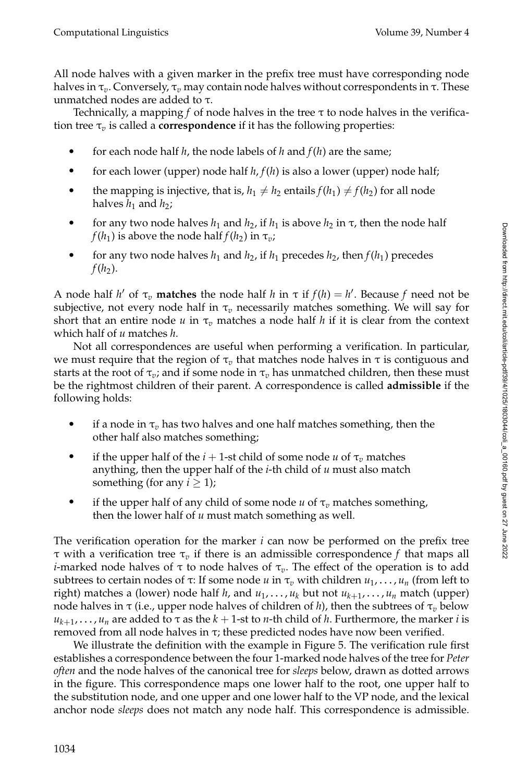All node halves with a given marker in the prefix tree must have corresponding node halves in  $\tau_v$ . Conversely,  $\tau_v$  may contain node halves without correspondents in  $\tau$ . These unmatched nodes are added to τ.

Technically, a mapping *f* of node halves in the tree  $\tau$  to node halves in the verification tree  $\tau_v$  is called a **correspondence** if it has the following properties:

- $\bullet$ for each node half *h*, the node labels of *h* and *f*(*h*) are the same;
- for each lower (upper) node half *h*, *f*(*h*) is also a lower (upper) node half;
- the mapping is injective, that is,  $h_1 \neq h_2$  entails  $f(h_1) \neq f(h_2)$  for all node halves  $h_1$  and  $h_2$ ;
- for any two node halves  $h_1$  and  $h_2$ , if  $h_1$  is above  $h_2$  in  $\tau$ , then the node half *f*( $h_1$ ) is above the node half *f*( $h_2$ ) in  $\tau_v$ ;
- for any two node halves  $h_1$  and  $h_2$ , if  $h_1$  precedes  $h_2$ , then  $f(h_1)$  precedes  $f(h_2)$ .

A node half *h*<sup> $\prime$ </sup> of  $\tau$ <sub>*v*</sub> **matches** the node half *h* in  $\tau$  if  $f(h) = h'$ . Because *f* need not be subjective, not every node half in  $\tau_v$  necessarily matches something. We will say for short that an entire node  $u$  in  $\tau$ <sub>*v*</sub> matches a node half *h* if it is clear from the context which half of *u* matches *h*.

Not all correspondences are useful when performing a verification. In particular, we must require that the region of  $\tau_v$  that matches node halves in  $\tau$  is contiguous and starts at the root of  $\tau_v$ ; and if some node in  $\tau_v$  has unmatched children, then these must be the rightmost children of their parent. A correspondence is called **admissible** if the following holds:

- $\bullet$ if a node in  $\tau_v$  has two halves and one half matches something, then the other half also matches something;
- if the upper half of the  $i + 1$ -st child of some node  $u$  of  $\tau_v$  matches anything, then the upper half of the *i*-th child of *u* must also match something (for any  $i \geq 1$ );
- if the upper half of any child of some node  $u$  of  $\tau_v$  matches something, then the lower half of *u* must match something as well.

The verification operation for the marker *i* can now be performed on the prefix tree τ with a verification tree τ*<sup>v</sup>* if there is an admissible correspondence *f* that maps all *i*-marked node halves of  $\tau$  to node halves of  $\tau_v$ . The effect of the operation is to add subtrees to certain nodes of  $\tau$ : If some node *u* in  $\tau_v$  with children  $u_1, \ldots, u_n$  (from left to right) matches a (lower) node half *h*, and *u*1, ... , *uk* but not *uk*+1, ... , *un* match (upper) node halves in  $\tau$  (i.e., upper node halves of children of *h*), then the subtrees of  $\tau$ <sub>*v*</sub> below  $u_{k+1}, \ldots, u_n$  are added to  $\tau$  as the  $k+1$ -st to *n*-th child of *h*. Furthermore, the marker *i* is removed from all node halves in τ; these predicted nodes have now been verified.

We illustrate the definition with the example in Figure 5. The verification rule first establishes a correspondence between the four 1-marked node halves of the tree for *Peter often* and the node halves of the canonical tree for *sleeps* below, drawn as dotted arrows in the figure. This correspondence maps one lower half to the root, one upper half to the substitution node, and one upper and one lower half to the VP node, and the lexical anchor node *sleeps* does not match any node half. This correspondence is admissible.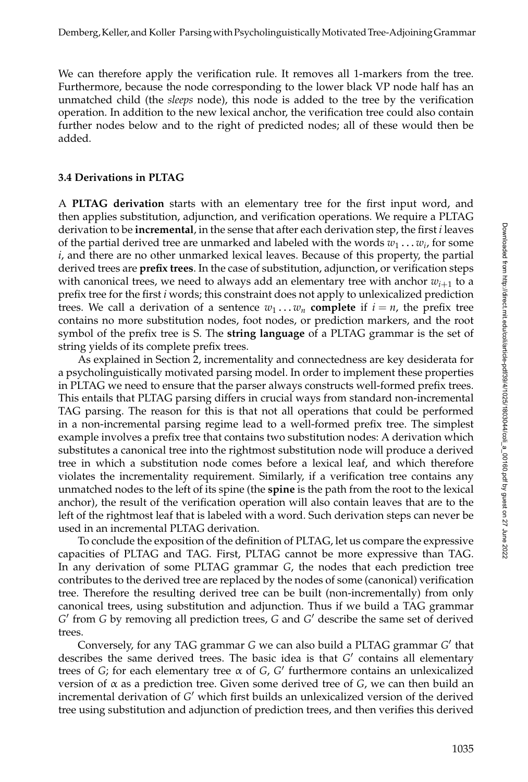We can therefore apply the verification rule. It removes all 1-markers from the tree. Furthermore, because the node corresponding to the lower black VP node half has an unmatched child (the *sleeps* node), this node is added to the tree by the verification operation. In addition to the new lexical anchor, the verification tree could also contain further nodes below and to the right of predicted nodes; all of these would then be added.

#### **3.4 Derivations in PLTAG**

A **PLTAG derivation** starts with an elementary tree for the first input word, and then applies substitution, adjunction, and verification operations. We require a PLTAG derivation to be **incremental**, in the sense that after each derivation step, the first *i* leaves of the partial derived tree are unmarked and labeled with the words  $w_1 \ldots w_i$ , for some *i*, and there are no other unmarked lexical leaves. Because of this property, the partial derived trees are **prefix trees**. In the case of substitution, adjunction, or verification steps with canonical trees, we need to always add an elementary tree with anchor  $w_{i+1}$  to a prefix tree for the first *i* words; this constraint does not apply to unlexicalized prediction trees. We call a derivation of a sentence  $w_1 \dots w_n$  complete if  $i = n$ , the prefix tree contains no more substitution nodes, foot nodes, or prediction markers, and the root symbol of the prefix tree is S. The **string language** of a PLTAG grammar is the set of string yields of its complete prefix trees.

As explained in Section 2, incrementality and connectedness are key desiderata for a psycholinguistically motivated parsing model. In order to implement these properties in PLTAG we need to ensure that the parser always constructs well-formed prefix trees. This entails that PLTAG parsing differs in crucial ways from standard non-incremental TAG parsing. The reason for this is that not all operations that could be performed in a non-incremental parsing regime lead to a well-formed prefix tree. The simplest example involves a prefix tree that contains two substitution nodes: A derivation which substitutes a canonical tree into the rightmost substitution node will produce a derived tree in which a substitution node comes before a lexical leaf, and which therefore violates the incrementality requirement. Similarly, if a verification tree contains any unmatched nodes to the left of its spine (the **spine** is the path from the root to the lexical anchor), the result of the verification operation will also contain leaves that are to the left of the rightmost leaf that is labeled with a word. Such derivation steps can never be used in an incremental PLTAG derivation.

To conclude the exposition of the definition of PLTAG, let us compare the expressive capacities of PLTAG and TAG. First, PLTAG cannot be more expressive than TAG. In any derivation of some PLTAG grammar *G*, the nodes that each prediction tree contributes to the derived tree are replaced by the nodes of some (canonical) verification tree. Therefore the resulting derived tree can be built (non-incrementally) from only canonical trees, using substitution and adjunction. Thus if we build a TAG grammar *G*- from *G* by removing all prediction trees, *G* and *G*- describe the same set of derived trees.

Conversely, for any TAG grammar *G* we can also build a PLTAG grammar *G*- that describes the same derived trees. The basic idea is that *G*- contains all elementary trees of *G*; for each elementary tree α of *G*, *G*- furthermore contains an unlexicalized version of α as a prediction tree. Given some derived tree of *G*, we can then build an incremental derivation of *G*- which first builds an unlexicalized version of the derived tree using substitution and adjunction of prediction trees, and then verifies this derived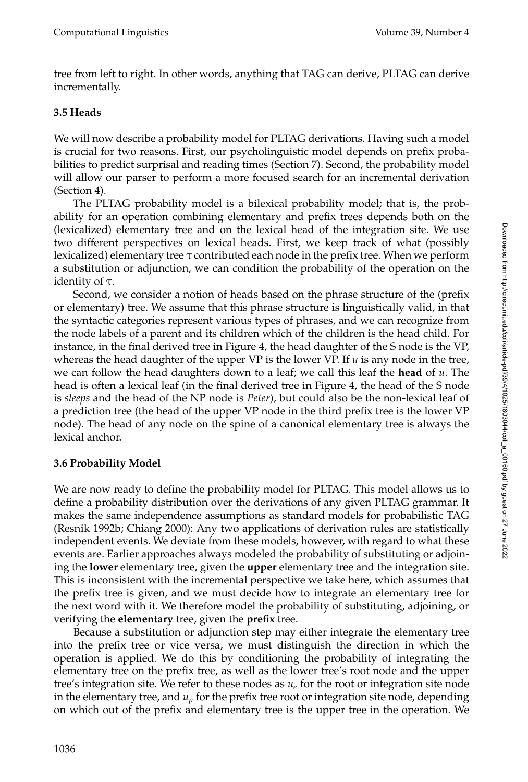tree from left to right. In other words, anything that TAG can derive, PLTAG can derive incrementally.

# **3.5 Heads**

We will now describe a probability model for PLTAG derivations. Having such a model is crucial for two reasons. First, our psycholinguistic model depends on prefix probabilities to predict surprisal and reading times (Section 7). Second, the probability model will allow our parser to perform a more focused search for an incremental derivation (Section 4).

The PLTAG probability model is a bilexical probability model; that is, the probability for an operation combining elementary and prefix trees depends both on the (lexicalized) elementary tree and on the lexical head of the integration site. We use two different perspectives on lexical heads. First, we keep track of what (possibly lexicalized) elementary tree  $\tau$  contributed each node in the prefix tree. When we perform a substitution or adjunction, we can condition the probability of the operation on the identity of τ.

Second, we consider a notion of heads based on the phrase structure of the (prefix or elementary) tree. We assume that this phrase structure is linguistically valid, in that the syntactic categories represent various types of phrases, and we can recognize from the node labels of a parent and its children which of the children is the head child. For instance, in the final derived tree in Figure 4, the head daughter of the S node is the VP, whereas the head daughter of the upper VP is the lower VP. If *u* is any node in the tree, we can follow the head daughters down to a leaf; we call this leaf the **head** of *u*. The head is often a lexical leaf (in the final derived tree in Figure 4, the head of the S node is *sleeps* and the head of the NP node is *Peter*), but could also be the non-lexical leaf of a prediction tree (the head of the upper VP node in the third prefix tree is the lower VP node). The head of any node on the spine of a canonical elementary tree is always the lexical anchor.

# **3.6 Probability Model**

We are now ready to define the probability model for PLTAG. This model allows us to define a probability distribution over the derivations of any given PLTAG grammar. It makes the same independence assumptions as standard models for probabilistic TAG (Resnik 1992b; Chiang 2000): Any two applications of derivation rules are statistically independent events. We deviate from these models, however, with regard to what these events are. Earlier approaches always modeled the probability of substituting or adjoining the **lower** elementary tree, given the **upper** elementary tree and the integration site. This is inconsistent with the incremental perspective we take here, which assumes that the prefix tree is given, and we must decide how to integrate an elementary tree for the next word with it. We therefore model the probability of substituting, adjoining, or verifying the **elementary** tree, given the **prefix** tree.

Because a substitution or adjunction step may either integrate the elementary tree into the prefix tree or vice versa, we must distinguish the direction in which the operation is applied. We do this by conditioning the probability of integrating the elementary tree on the prefix tree, as well as the lower tree's root node and the upper tree's integration site. We refer to these nodes as *ue* for the root or integration site node in the elementary tree, and  $u_p$  for the prefix tree root or integration site node, depending on which out of the prefix and elementary tree is the upper tree in the operation. We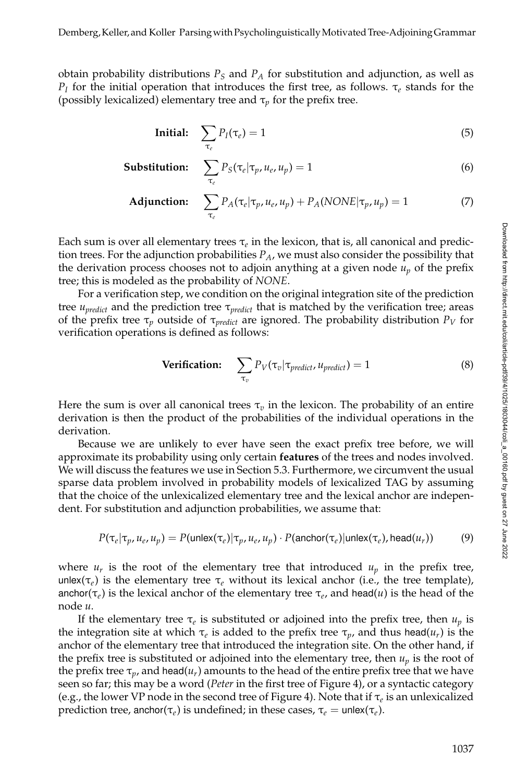obtain probability distributions  $P<sub>S</sub>$  and  $P<sub>A</sub>$  for substitution and adjunction, as well as *P<sub>I</sub>* for the initial operation that introduces the first tree, as follows.  $τ<sub>e</sub>$  stands for the (possibly lexicalized) elementary tree and  $\tau_p$  for the prefix tree.

**Initial:** 
$$
\sum_{\tau_e} P_I(\tau_e) = 1
$$
 (5)

Substitution: 
$$
\sum_{\tau_e} P_S(\tau_e | \tau_p, u_e, u_p) = 1
$$
 (6)

**Adjunction:** 
$$
\sum_{\tau_e} P_A(\tau_e|\tau_p, u_e, u_p) + P_A(NONE|\tau_p, u_p) = 1
$$
 (7)

Each sum is over all elementary trees  $\tau_e$  in the lexicon, that is, all canonical and prediction trees. For the adjunction probabilities  $P_A$ , we must also consider the possibility that the derivation process chooses not to adjoin anything at a given node  $u_p$  of the prefix tree; this is modeled as the probability of *NONE*.

For a verification step, we condition on the original integration site of the prediction tree *upredict* and the prediction tree τ*predict* that is matched by the verification tree; areas of the prefix tree  $\tau_p$  outside of  $\tau_{predict}$  are ignored. The probability distribution  $P_V$  for verification operations is defined as follows:

**Verification:** 
$$
\sum_{\tau_v} P_V(\tau_v | \tau_{predict}, u_{predict}) = 1
$$
 (8)

Here the sum is over all canonical trees  $\tau$ <sub>*v*</sub> in the lexicon. The probability of an entire derivation is then the product of the probabilities of the individual operations in the derivation.

Because we are unlikely to ever have seen the exact prefix tree before, we will approximate its probability using only certain **features** of the trees and nodes involved. We will discuss the features we use in Section 5.3. Furthermore, we circumvent the usual sparse data problem involved in probability models of lexicalized TAG by assuming that the choice of the unlexicalized elementary tree and the lexical anchor are independent. For substitution and adjunction probabilities, we assume that:

$$
P(\tau_e|\tau_p, u_e, u_p) = P(\text{unlex}(\tau_e)|\tau_p, u_e, u_p) \cdot P(\text{anchor}(\tau_e)|\text{unlex}(\tau_e), \text{head}(u_r))
$$
(9)

where  $u_r$  is the root of the elementary tree that introduced  $u_p$  in the prefix tree, unlex( $\tau_e$ ) is the elementary tree  $\tau_e$  without its lexical anchor (i.e., the tree template), anchor( $\tau_e$ ) is the lexical anchor of the elementary tree  $\tau_e$ , and head(*u*) is the head of the node *u*.

If the elementary tree  $\tau_e$  is substituted or adjoined into the prefix tree, then  $u_p$  is the integration site at which  $\tau_e$  is added to the prefix tree  $\tau_p$ , and thus head( $u_r$ ) is the anchor of the elementary tree that introduced the integration site. On the other hand, if the prefix tree is substituted or adjoined into the elementary tree, then  $u_p$  is the root of the prefix tree  $\tau_p$ , and head( $u_r$ ) amounts to the head of the entire prefix tree that we have seen so far; this may be a word (*Peter* in the first tree of Figure 4), or a syntactic category (e.g., the lower VP node in the second tree of Figure 4). Note that if  $\tau_e$  is an unlexicalized prediction tree, anchor( $\tau_e$ ) is undefined; in these cases,  $\tau_e = \text{unlex}(\tau_e)$ .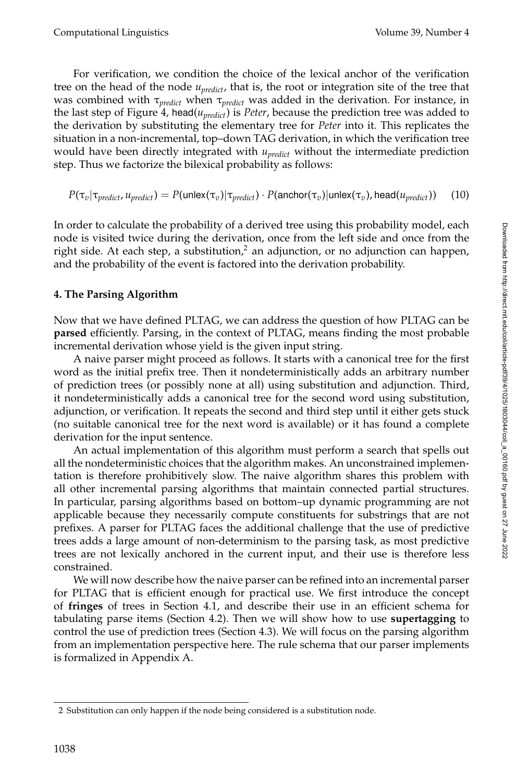For verification, we condition the choice of the lexical anchor of the verification tree on the head of the node *upredict*, that is, the root or integration site of the tree that was combined with τ*predict* when τ*predict* was added in the derivation. For instance, in the last step of Figure 4, head( $u_{predict}$ ) is *Peter*, because the prediction tree was added to the derivation by substituting the elementary tree for *Peter* into it. This replicates the situation in a non-incremental, top–down TAG derivation, in which the verification tree would have been directly integrated with *upredict* without the intermediate prediction step. Thus we factorize the bilexical probability as follows:

 $P(\tau_v|\tau_{predict}, u_{predict}) = P(\textsf{unlex}(\tau_v)|\tau_{predict}) \cdot P(\textsf{anchor}(\tau_v)|\textsf{unlex}(\tau_v), \textsf{head}(u_{predict}))$  (10)

In order to calculate the probability of a derived tree using this probability model, each node is visited twice during the derivation, once from the left side and once from the right side. At each step, a substitution, $^2$  an adjunction, or no adjunction can happen, and the probability of the event is factored into the derivation probability.

# **4. The Parsing Algorithm**

Now that we have defined PLTAG, we can address the question of how PLTAG can be **parsed** efficiently. Parsing, in the context of PLTAG, means finding the most probable incremental derivation whose yield is the given input string.

A naive parser might proceed as follows. It starts with a canonical tree for the first word as the initial prefix tree. Then it nondeterministically adds an arbitrary number of prediction trees (or possibly none at all) using substitution and adjunction. Third, it nondeterministically adds a canonical tree for the second word using substitution, adjunction, or verification. It repeats the second and third step until it either gets stuck (no suitable canonical tree for the next word is available) or it has found a complete derivation for the input sentence.

An actual implementation of this algorithm must perform a search that spells out all the nondeterministic choices that the algorithm makes. An unconstrained implementation is therefore prohibitively slow. The naive algorithm shares this problem with all other incremental parsing algorithms that maintain connected partial structures. In particular, parsing algorithms based on bottom–up dynamic programming are not applicable because they necessarily compute constituents for substrings that are not prefixes. A parser for PLTAG faces the additional challenge that the use of predictive trees adds a large amount of non-determinism to the parsing task, as most predictive trees are not lexically anchored in the current input, and their use is therefore less constrained.

We will now describe how the naive parser can be refined into an incremental parser for PLTAG that is efficient enough for practical use. We first introduce the concept of **fringes** of trees in Section 4.1, and describe their use in an efficient schema for tabulating parse items (Section 4.2). Then we will show how to use **supertagging** to control the use of prediction trees (Section 4.3). We will focus on the parsing algorithm from an implementation perspective here. The rule schema that our parser implements is formalized in Appendix A.

<sup>2</sup> Substitution can only happen if the node being considered is a substitution node.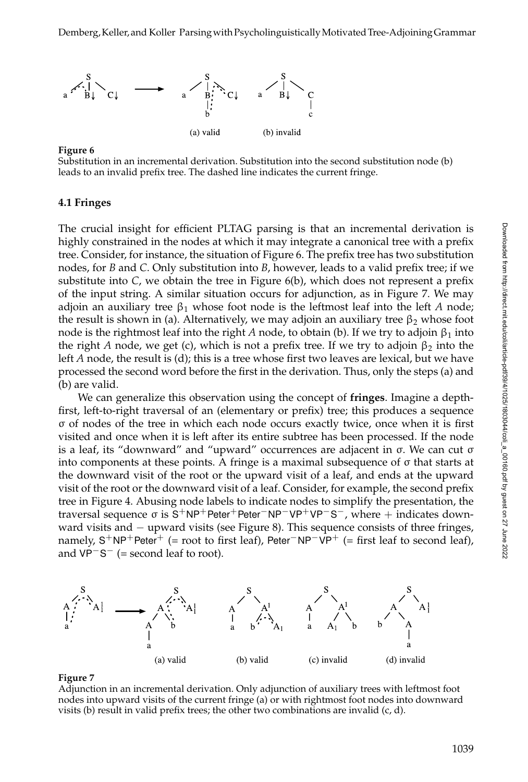

#### **Figure 6**

Substitution in an incremental derivation. Substitution into the second substitution node (b) leads to an invalid prefix tree. The dashed line indicates the current fringe.

#### **4.1 Fringes**

The crucial insight for efficient PLTAG parsing is that an incremental derivation is highly constrained in the nodes at which it may integrate a canonical tree with a prefix tree. Consider, for instance, the situation of Figure 6. The prefix tree has two substitution nodes, for *B* and *C*. Only substitution into *B*, however, leads to a valid prefix tree; if we substitute into *C*, we obtain the tree in Figure 6(b), which does not represent a prefix of the input string. A similar situation occurs for adjunction, as in Figure 7. We may adjoin an auxiliary tree  $\beta_1$  whose foot node is the leftmost leaf into the left *A* node; the result is shown in (a). Alternatively, we may adjoin an auxiliary tree  $\beta_2$  whose foot node is the rightmost leaf into the right *A* node, to obtain (b). If we try to adjoin  $\beta_1$  into the right *A* node, we get (c), which is not a prefix tree. If we try to adjoin  $\beta_2$  into the left *A* node, the result is (d); this is a tree whose first two leaves are lexical, but we have processed the second word before the first in the derivation. Thus, only the steps (a) and (b) are valid.

We can generalize this observation using the concept of **fringes**. Imagine a depthfirst, left-to-right traversal of an (elementary or prefix) tree; this produces a sequence σ of nodes of the tree in which each node occurs exactly twice, once when it is first visited and once when it is left after its entire subtree has been processed. If the node is a leaf, its "downward" and "upward" occurrences are adjacent in  $\sigma$ . We can cut  $\sigma$ into components at these points. A fringe is a maximal subsequence of σ that starts at the downward visit of the root or the upward visit of a leaf, and ends at the upward visit of the root or the downward visit of a leaf. Consider, for example, the second prefix tree in Figure 4. Abusing node labels to indicate nodes to simplify the presentation, the traversal sequence σ is  $S^{+}NP^{+}$ Peter<sup>+</sup>Peter<sup>-</sup>NP<sup>-</sup>VP<sup>+</sup>VP<sup>-</sup>S<sup>-</sup>, where + indicates downward visits and − upward visits (see Figure 8). This sequence consists of three fringes, namely, S<sup>+</sup>NP<sup>+</sup>Peter<sup>+</sup> (= root to first leaf), Peter<sup>−</sup>NP<sup>−</sup>VP<sup>+</sup> (= first leaf to second leaf), and  $VP-S^-$  (= second leaf to root).



#### **Figure 7**

Adjunction in an incremental derivation. Only adjunction of auxiliary trees with leftmost foot nodes into upward visits of the current fringe (a) or with rightmost foot nodes into downward visits (b) result in valid prefix trees; the other two combinations are invalid  $(c, d)$ .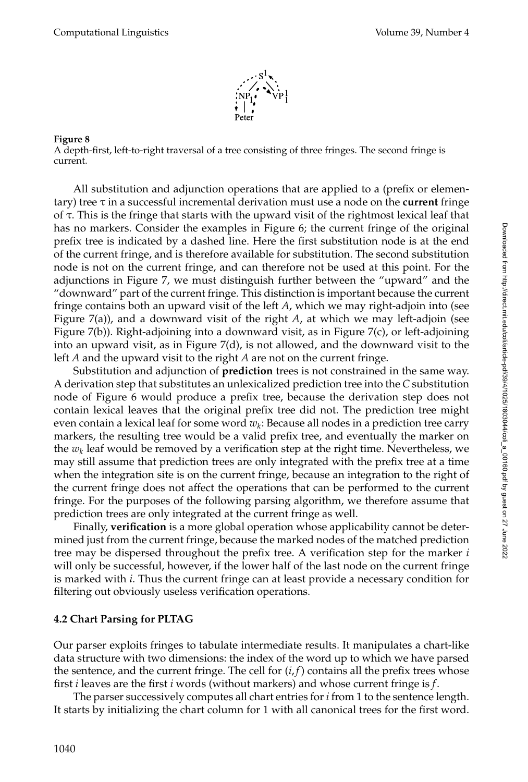

### **Figure 8**

A depth-first, left-to-right traversal of a tree consisting of three fringes. The second fringe is current.

All substitution and adjunction operations that are applied to a (prefix or elementary) tree τ in a successful incremental derivation must use a node on the **current** fringe of τ. This is the fringe that starts with the upward visit of the rightmost lexical leaf that has no markers. Consider the examples in Figure 6; the current fringe of the original prefix tree is indicated by a dashed line. Here the first substitution node is at the end of the current fringe, and is therefore available for substitution. The second substitution node is not on the current fringe, and can therefore not be used at this point. For the adjunctions in Figure 7, we must distinguish further between the "upward" and the "downward" part of the current fringe. This distinction is important because the current fringe contains both an upward visit of the left *A*, which we may right-adjoin into (see Figure 7(a)), and a downward visit of the right *A*, at which we may left-adjoin (see Figure 7(b)). Right-adjoining into a downward visit, as in Figure 7(c), or left-adjoining into an upward visit, as in Figure 7(d), is not allowed, and the downward visit to the left *A* and the upward visit to the right *A* are not on the current fringe.

Substitution and adjunction of **prediction** trees is not constrained in the same way. A derivation step that substitutes an unlexicalized prediction tree into the *C* substitution node of Figure 6 would produce a prefix tree, because the derivation step does not contain lexical leaves that the original prefix tree did not. The prediction tree might even contain a lexical leaf for some word *wk*: Because all nodes in a prediction tree carry markers, the resulting tree would be a valid prefix tree, and eventually the marker on the  $w_k$  leaf would be removed by a verification step at the right time. Nevertheless, we may still assume that prediction trees are only integrated with the prefix tree at a time when the integration site is on the current fringe, because an integration to the right of the current fringe does not affect the operations that can be performed to the current fringe. For the purposes of the following parsing algorithm, we therefore assume that prediction trees are only integrated at the current fringe as well.

Finally, **verification** is a more global operation whose applicability cannot be determined just from the current fringe, because the marked nodes of the matched prediction tree may be dispersed throughout the prefix tree. A verification step for the marker *i* will only be successful, however, if the lower half of the last node on the current fringe is marked with *i*. Thus the current fringe can at least provide a necessary condition for filtering out obviously useless verification operations.

# **4.2 Chart Parsing for PLTAG**

Our parser exploits fringes to tabulate intermediate results. It manipulates a chart-like data structure with two dimensions: the index of the word up to which we have parsed the sentence, and the current fringe. The cell for  $(i, f)$  contains all the prefix trees whose first *i* leaves are the first *i* words (without markers) and whose current fringe is *f*.

The parser successively computes all chart entries for *i* from 1 to the sentence length. It starts by initializing the chart column for 1 with all canonical trees for the first word.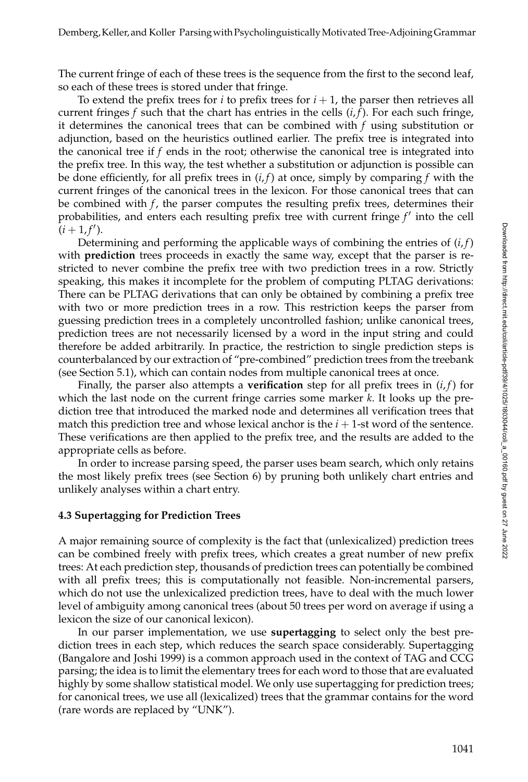The current fringe of each of these trees is the sequence from the first to the second leaf, so each of these trees is stored under that fringe.

To extend the prefix trees for  $i$  to prefix trees for  $i + 1$ , the parser then retrieves all current fringes  $f$  such that the chart has entries in the cells  $(i, f)$ . For each such fringe, it determines the canonical trees that can be combined with *f* using substitution or adjunction, based on the heuristics outlined earlier. The prefix tree is integrated into the canonical tree if *f* ends in the root; otherwise the canonical tree is integrated into the prefix tree. In this way, the test whether a substitution or adjunction is possible can be done efficiently, for all prefix trees in  $(i, f)$  at once, simply by comparing  $f$  with the current fringes of the canonical trees in the lexicon. For those canonical trees that can be combined with *f*, the parser computes the resulting prefix trees, determines their probabilities, and enters each resulting prefix tree with current fringe f' into the cell  $(i+1,f').$ 

Determining and performing the applicable ways of combining the entries of  $(i, f)$ with **prediction** trees proceeds in exactly the same way, except that the parser is restricted to never combine the prefix tree with two prediction trees in a row. Strictly speaking, this makes it incomplete for the problem of computing PLTAG derivations: There can be PLTAG derivations that can only be obtained by combining a prefix tree with two or more prediction trees in a row. This restriction keeps the parser from guessing prediction trees in a completely uncontrolled fashion; unlike canonical trees, prediction trees are not necessarily licensed by a word in the input string and could therefore be added arbitrarily. In practice, the restriction to single prediction steps is counterbalanced by our extraction of "pre-combined" prediction trees from the treebank (see Section 5.1), which can contain nodes from multiple canonical trees at once.

Finally, the parser also attempts a **verification** step for all prefix trees in  $(i, f)$  for which the last node on the current fringe carries some marker *k*. It looks up the prediction tree that introduced the marked node and determines all verification trees that match this prediction tree and whose lexical anchor is the *i* + 1-st word of the sentence. These verifications are then applied to the prefix tree, and the results are added to the appropriate cells as before.

In order to increase parsing speed, the parser uses beam search, which only retains the most likely prefix trees (see Section 6) by pruning both unlikely chart entries and unlikely analyses within a chart entry.

#### **4.3 Supertagging for Prediction Trees**

A major remaining source of complexity is the fact that (unlexicalized) prediction trees can be combined freely with prefix trees, which creates a great number of new prefix trees: At each prediction step, thousands of prediction trees can potentially be combined with all prefix trees; this is computationally not feasible. Non-incremental parsers, which do not use the unlexicalized prediction trees, have to deal with the much lower level of ambiguity among canonical trees (about 50 trees per word on average if using a lexicon the size of our canonical lexicon).

In our parser implementation, we use **supertagging** to select only the best prediction trees in each step, which reduces the search space considerably. Supertagging (Bangalore and Joshi 1999) is a common approach used in the context of TAG and CCG parsing; the idea is to limit the elementary trees for each word to those that are evaluated highly by some shallow statistical model. We only use supertagging for prediction trees; for canonical trees, we use all (lexicalized) trees that the grammar contains for the word (rare words are replaced by "UNK").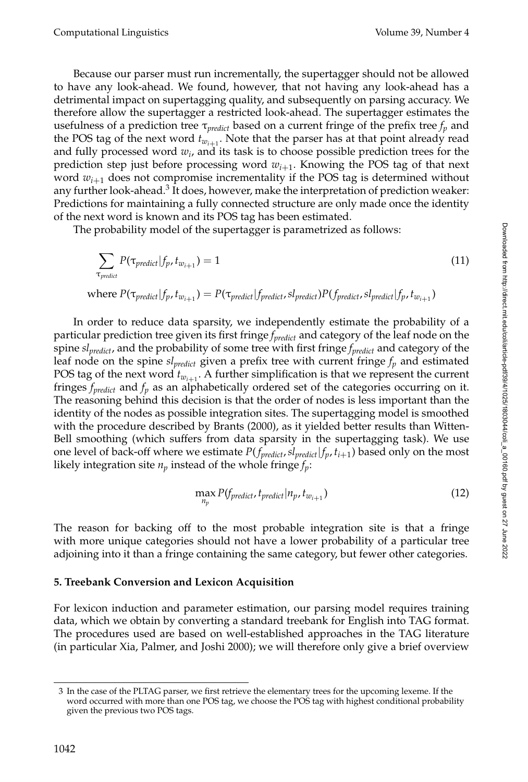Because our parser must run incrementally, the supertagger should not be allowed to have any look-ahead. We found, however, that not having any look-ahead has a detrimental impact on supertagging quality, and subsequently on parsing accuracy. We therefore allow the supertagger a restricted look-ahead. The supertagger estimates the usefulness of a prediction tree  $\tau_{predict}$  based on a current fringe of the prefix tree  $f_p$  and the POS tag of the next word  $t_{w_{i+1}}$ . Note that the parser has at that point already read and fully processed word *wi*, and its task is to choose possible prediction trees for the prediction step just before processing word  $w_{i+1}$ . Knowing the POS tag of that next word  $w_{i+1}$  does not compromise incrementality if the POS tag is determined without any further look-ahead.<sup>3</sup> It does, however, make the interpretation of prediction weaker: Predictions for maintaining a fully connected structure are only made once the identity of the next word is known and its POS tag has been estimated.

The probability model of the supertagger is parametrized as follows:

$$
\sum_{\tau_{predict}} P(\tau_{predict}|f_p, t_{w_{i+1}}) = 1 \tag{11}
$$

where 
$$
P(\tau_{predict}|f_p, t_{w_{i+1}}) = P(\tau_{predict}|f_{predict}, sl_{predict})P(f_{predict}, sl_{predict}|f_p, t_{w_{i+1}})
$$

In order to reduce data sparsity, we independently estimate the probability of a particular prediction tree given its first fringe *fpredict* and category of the leaf node on the spine *slpredict*, and the probability of some tree with first fringe *fpredict* and category of the leaf node on the spine *slpredict* given a prefix tree with current fringe *fp* and estimated POS tag of the next word  $t_{w_{i+1}}$ . A further simplification is that we represent the current fringes *fpredict* and *fp* as an alphabetically ordered set of the categories occurring on it. The reasoning behind this decision is that the order of nodes is less important than the identity of the nodes as possible integration sites. The supertagging model is smoothed with the procedure described by Brants (2000), as it yielded better results than Witten-Bell smoothing (which suffers from data sparsity in the supertagging task). We use one level of back-off where we estimate  $P(f_{predict}, s|_{predict}|f_p, t_{i+1})$  based only on the most likely integration site  $n_p$  instead of the whole fringe  $f_p$ :

$$
\max_{n_p} P(f_{predict}, t_{predict}|n_p, t_{w_{i+1}}) \tag{12}
$$

The reason for backing off to the most probable integration site is that a fringe with more unique categories should not have a lower probability of a particular tree adjoining into it than a fringe containing the same category, but fewer other categories.

### **5. Treebank Conversion and Lexicon Acquisition**

For lexicon induction and parameter estimation, our parsing model requires training data, which we obtain by converting a standard treebank for English into TAG format. The procedures used are based on well-established approaches in the TAG literature (in particular Xia, Palmer, and Joshi 2000); we will therefore only give a brief overview

<sup>3</sup> In the case of the PLTAG parser, we first retrieve the elementary trees for the upcoming lexeme. If the word occurred with more than one POS tag, we choose the POS tag with highest conditional probability given the previous two POS tags.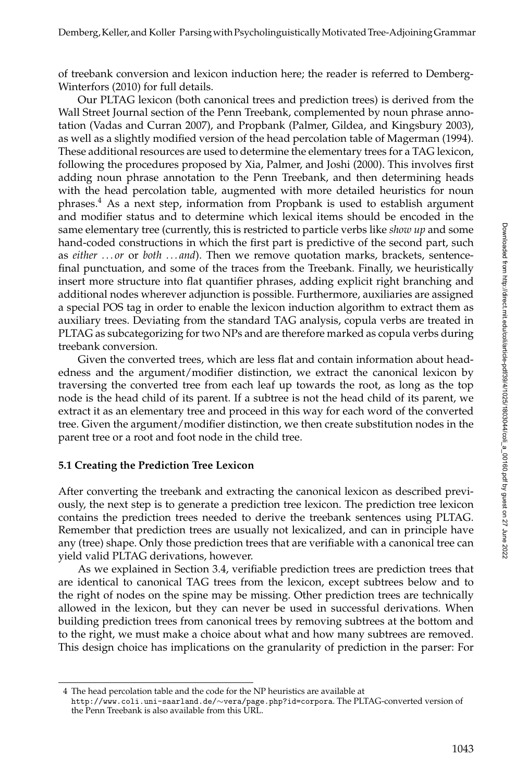of treebank conversion and lexicon induction here; the reader is referred to Demberg-Winterfors (2010) for full details.

Our PLTAG lexicon (both canonical trees and prediction trees) is derived from the Wall Street Journal section of the Penn Treebank, complemented by noun phrase annotation (Vadas and Curran 2007), and Propbank (Palmer, Gildea, and Kingsbury 2003), as well as a slightly modified version of the head percolation table of Magerman (1994). These additional resources are used to determine the elementary trees for a TAG lexicon, following the procedures proposed by Xia, Palmer, and Joshi (2000). This involves first adding noun phrase annotation to the Penn Treebank, and then determining heads with the head percolation table, augmented with more detailed heuristics for noun phrases.<sup>4</sup> As a next step, information from Propbank is used to establish argument and modifier status and to determine which lexical items should be encoded in the same elementary tree (currently, this is restricted to particle verbs like *show up* and some hand-coded constructions in which the first part is predictive of the second part, such as *either . . . or* or *both . . . and*). Then we remove quotation marks, brackets, sentencefinal punctuation, and some of the traces from the Treebank. Finally, we heuristically insert more structure into flat quantifier phrases, adding explicit right branching and additional nodes wherever adjunction is possible. Furthermore, auxiliaries are assigned a special POS tag in order to enable the lexicon induction algorithm to extract them as auxiliary trees. Deviating from the standard TAG analysis, copula verbs are treated in PLTAG as subcategorizing for two NPs and are therefore marked as copula verbs during treebank conversion.

Given the converted trees, which are less flat and contain information about headedness and the argument/modifier distinction, we extract the canonical lexicon by traversing the converted tree from each leaf up towards the root, as long as the top node is the head child of its parent. If a subtree is not the head child of its parent, we extract it as an elementary tree and proceed in this way for each word of the converted tree. Given the argument/modifier distinction, we then create substitution nodes in the parent tree or a root and foot node in the child tree.

#### **5.1 Creating the Prediction Tree Lexicon**

After converting the treebank and extracting the canonical lexicon as described previously, the next step is to generate a prediction tree lexicon. The prediction tree lexicon contains the prediction trees needed to derive the treebank sentences using PLTAG. Remember that prediction trees are usually not lexicalized, and can in principle have any (tree) shape. Only those prediction trees that are verifiable with a canonical tree can yield valid PLTAG derivations, however.

As we explained in Section 3.4, verifiable prediction trees are prediction trees that are identical to canonical TAG trees from the lexicon, except subtrees below and to the right of nodes on the spine may be missing. Other prediction trees are technically allowed in the lexicon, but they can never be used in successful derivations. When building prediction trees from canonical trees by removing subtrees at the bottom and to the right, we must make a choice about what and how many subtrees are removed. This design choice has implications on the granularity of prediction in the parser: For

<sup>4</sup> The head percolation table and the code for the NP heuristics are available at http://www.coli.uni-saarland.de/∼vera/page.php?id=corpora. The PLTAG-converted version of the Penn Treebank is also available from this URL.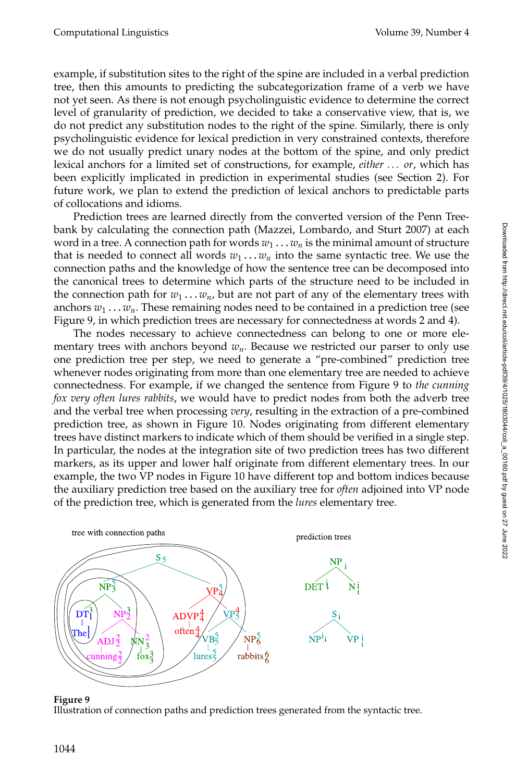example, if substitution sites to the right of the spine are included in a verbal prediction tree, then this amounts to predicting the subcategorization frame of a verb we have not yet seen. As there is not enough psycholinguistic evidence to determine the correct level of granularity of prediction, we decided to take a conservative view, that is, we do not predict any substitution nodes to the right of the spine. Similarly, there is only psycholinguistic evidence for lexical prediction in very constrained contexts, therefore we do not usually predict unary nodes at the bottom of the spine, and only predict lexical anchors for a limited set of constructions, for example, *either . . . or*, which has been explicitly implicated in prediction in experimental studies (see Section 2). For future work, we plan to extend the prediction of lexical anchors to predictable parts of collocations and idioms.

Prediction trees are learned directly from the converted version of the Penn Treebank by calculating the connection path (Mazzei, Lombardo, and Sturt 2007) at each word in a tree. A connection path for words  $w_1 \ldots w_n$  is the minimal amount of structure that is needed to connect all words  $w_1 \ldots w_n$  into the same syntactic tree. We use the connection paths and the knowledge of how the sentence tree can be decomposed into the canonical trees to determine which parts of the structure need to be included in the connection path for  $w_1 \ldots w_n$ , but are not part of any of the elementary trees with anchors  $w_1 \ldots w_n$ . These remaining nodes need to be contained in a prediction tree (see Figure 9, in which prediction trees are necessary for connectedness at words 2 and 4).

The nodes necessary to achieve connectedness can belong to one or more elementary trees with anchors beyond  $w_n$ . Because we restricted our parser to only use one prediction tree per step, we need to generate a "pre-combined" prediction tree whenever nodes originating from more than one elementary tree are needed to achieve connectedness. For example, if we changed the sentence from Figure 9 to *the cunning fox very often lures rabbits*, we would have to predict nodes from both the adverb tree and the verbal tree when processing *very*, resulting in the extraction of a pre-combined prediction tree, as shown in Figure 10. Nodes originating from different elementary trees have distinct markers to indicate which of them should be verified in a single step. In particular, the nodes at the integration site of two prediction trees has two different markers, as its upper and lower half originate from different elementary trees. In our example, the two VP nodes in Figure 10 have different top and bottom indices because the auxiliary prediction tree based on the auxiliary tree for *often* adjoined into VP node of the prediction tree, which is generated from the *lures* elementary tree.



### **Figure 9**

Illustration of connection paths and prediction trees generated from the syntactic tree.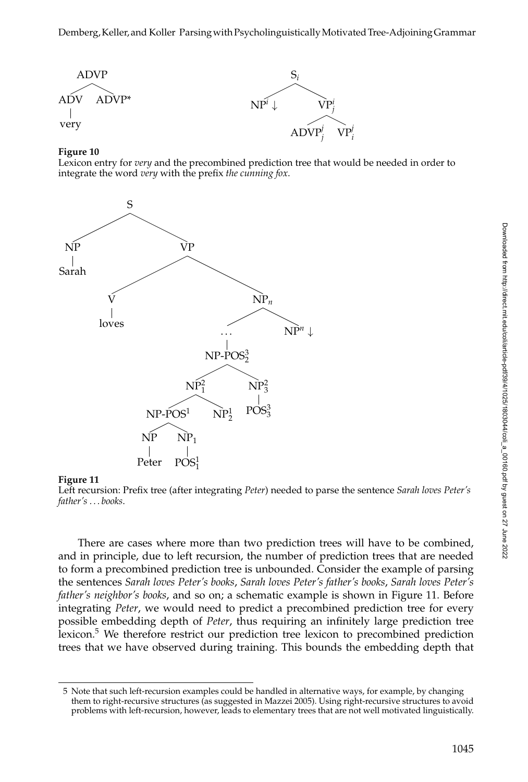

#### **Figure 10**

Lexicon entry for *very* and the precombined prediction tree that would be needed in order to integrate the word *very* with the prefix *the cunning fox*.



#### **Figure 11**

Left recursion: Prefix tree (after integrating *Peter*) needed to parse the sentence *Sarah loves Peter's father's . . . books*.

There are cases where more than two prediction trees will have to be combined, and in principle, due to left recursion, the number of prediction trees that are needed to form a precombined prediction tree is unbounded. Consider the example of parsing the sentences *Sarah loves Peter's books*, *Sarah loves Peter's father's books*, *Sarah loves Peter's father's neighbor's books*, and so on; a schematic example is shown in Figure 11. Before integrating *Peter*, we would need to predict a precombined prediction tree for every possible embedding depth of *Peter*, thus requiring an infinitely large prediction tree lexicon.<sup>5</sup> We therefore restrict our prediction tree lexicon to precombined prediction trees that we have observed during training. This bounds the embedding depth that

<sup>5</sup> Note that such left-recursion examples could be handled in alternative ways, for example, by changing them to right-recursive structures (as suggested in Mazzei 2005). Using right-recursive structures to avoid problems with left-recursion, however, leads to elementary trees that are not well motivated linguistically.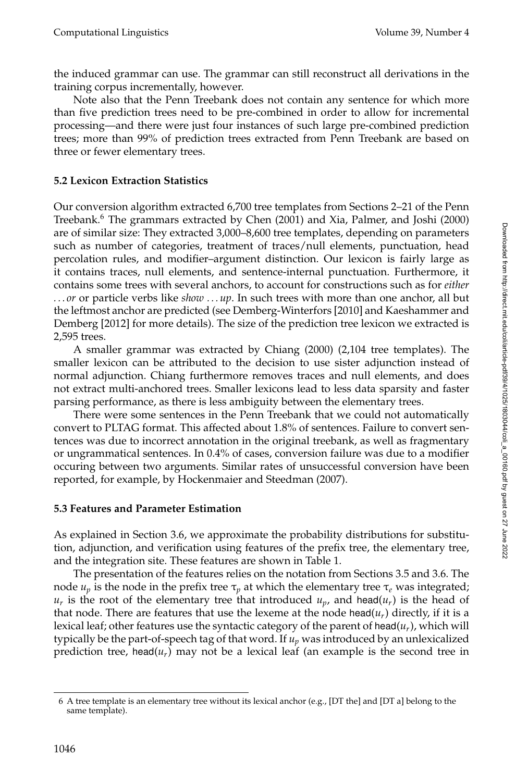the induced grammar can use. The grammar can still reconstruct all derivations in the training corpus incrementally, however.

Note also that the Penn Treebank does not contain any sentence for which more than five prediction trees need to be pre-combined in order to allow for incremental processing—and there were just four instances of such large pre-combined prediction trees; more than 99% of prediction trees extracted from Penn Treebank are based on three or fewer elementary trees.

# **5.2 Lexicon Extraction Statistics**

Our conversion algorithm extracted 6,700 tree templates from Sections 2–21 of the Penn Treebank.<sup>6</sup> The grammars extracted by Chen (2001) and Xia, Palmer, and Joshi (2000) are of similar size: They extracted 3,000–8,600 tree templates, depending on parameters such as number of categories, treatment of traces/null elements, punctuation, head percolation rules, and modifier–argument distinction. Our lexicon is fairly large as it contains traces, null elements, and sentence-internal punctuation. Furthermore, it contains some trees with several anchors, to account for constructions such as for *either . . . or* or particle verbs like *show . . . up*. In such trees with more than one anchor, all but the leftmost anchor are predicted (see Demberg-Winterfors [2010] and Kaeshammer and Demberg [2012] for more details). The size of the prediction tree lexicon we extracted is 2,595 trees.

A smaller grammar was extracted by Chiang (2000) (2,104 tree templates). The smaller lexicon can be attributed to the decision to use sister adjunction instead of normal adjunction. Chiang furthermore removes traces and null elements, and does not extract multi-anchored trees. Smaller lexicons lead to less data sparsity and faster parsing performance, as there is less ambiguity between the elementary trees.

There were some sentences in the Penn Treebank that we could not automatically convert to PLTAG format. This affected about 1.8% of sentences. Failure to convert sentences was due to incorrect annotation in the original treebank, as well as fragmentary or ungrammatical sentences. In 0.4% of cases, conversion failure was due to a modifier occuring between two arguments. Similar rates of unsuccessful conversion have been reported, for example, by Hockenmaier and Steedman (2007).

# **5.3 Features and Parameter Estimation**

As explained in Section 3.6, we approximate the probability distributions for substitution, adjunction, and verification using features of the prefix tree, the elementary tree, and the integration site. These features are shown in Table 1.

The presentation of the features relies on the notation from Sections 3.5 and 3.6. The node  $u_p$  is the node in the prefix tree  $\tau_p$  at which the elementary tree  $\tau_e$  was integrated;  $u_r$  is the root of the elementary tree that introduced  $u_p$ , and head( $u_r$ ) is the head of that node. There are features that use the lexeme at the node head $(u_r)$  directly, if it is a lexical leaf; other features use the syntactic category of the parent of head $(u_r)$ , which will typically be the part-of-speech tag of that word. If *up* was introduced by an unlexicalized prediction tree, head( $u_r$ ) may not be a lexical leaf (an example is the second tree in

<sup>6</sup> A tree template is an elementary tree without its lexical anchor (e.g., [DT the] and [DT a] belong to the same template).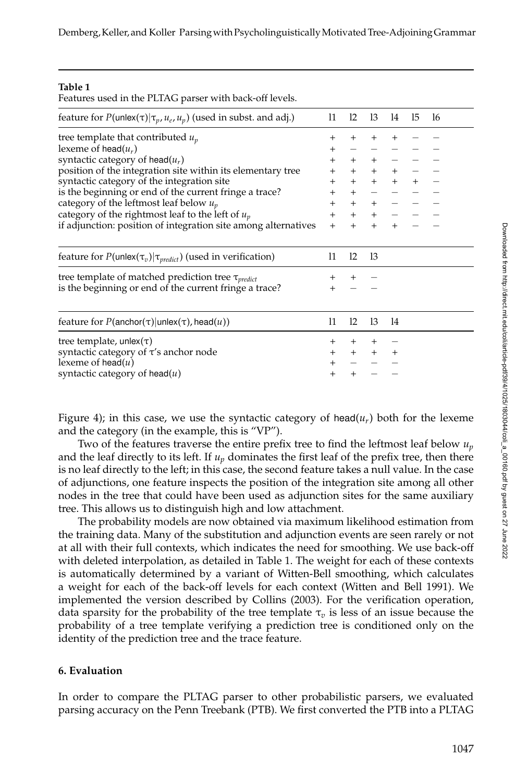### **Table 1**

Features used in the PLTAG parser with back-off levels.

| feature for $P(\text{unlex}(\tau) \tau_p, u_e, u_p)$ (used in subst. and adj.) | 11             |                   |         | $12 \quad 13 \quad 14$   | 15  | 16 |  |
|--------------------------------------------------------------------------------|----------------|-------------------|---------|--------------------------|-----|----|--|
| tree template that contributed $u_n$                                           | +              |                   |         | $\ddot{}$                |     |    |  |
| lexeme of head( $u_r$ )                                                        | $^{+}$         |                   |         |                          |     |    |  |
| syntactic category of head $(u_r)$                                             | $+$            | $+$               | $+$     |                          |     |    |  |
| position of the integration site within its elementary tree                    |                | $+$               | $+$     | $+$                      |     |    |  |
| syntactic category of the integration site                                     | $+$            | $+$               | $+$     | $+$                      | $+$ |    |  |
| is the beginning or end of the current fringe a trace?                         | $+$            | $+$               | $ \,$   | $\overline{\phantom{m}}$ |     |    |  |
| category of the leftmost leaf below $u_p$                                      | $+$            |                   | $+$ $+$ |                          |     |    |  |
| category of the rightmost leaf to the left of $u_p$                            | $+$            |                   |         |                          |     |    |  |
| if adjunction: position of integration site among alternatives                 | $+$            | $+$               | $+$     | $+$                      |     |    |  |
| feature for $P(\text{unlex}(\tau_v) \tau_{predict})$ (used in verification)    | 11             | 12                | -13     |                          |     |    |  |
| tree template of matched prediction tree $\tau_{predict}$                      | $\overline{+}$ | $^{+}$            |         |                          |     |    |  |
| is the beginning or end of the current fringe a trace?                         | $^{+}$         |                   |         |                          |     |    |  |
| feature for $P(\text{anchor}(\tau) \text{unlex}(\tau)$ , head $(u)$ )          | 11             | $12 \overline{ }$ | 13      | 14                       |     |    |  |
| tree template, unlex $(\tau)$                                                  | $^{+}$         | $^{+}$            | $^{+}$  |                          |     |    |  |
| syntactic category of $\tau$ 's anchor node                                    | $+$            | $+$               | $+$     | $^{+}$                   |     |    |  |
| lexeme of head $(u)$                                                           | $^{+}$         |                   |         |                          |     |    |  |
| syntactic category of head $(u)$                                               |                |                   |         |                          |     |    |  |
|                                                                                |                |                   |         |                          |     |    |  |

Figure 4); in this case, we use the syntactic category of head( $u_r$ ) both for the lexeme and the category (in the example, this is "VP").

Two of the features traverse the entire prefix tree to find the leftmost leaf below *up* and the leaf directly to its left. If  $u_p$  dominates the first leaf of the prefix tree, then there is no leaf directly to the left; in this case, the second feature takes a null value. In the case of adjunctions, one feature inspects the position of the integration site among all other nodes in the tree that could have been used as adjunction sites for the same auxiliary tree. This allows us to distinguish high and low attachment.

The probability models are now obtained via maximum likelihood estimation from the training data. Many of the substitution and adjunction events are seen rarely or not at all with their full contexts, which indicates the need for smoothing. We use back-off with deleted interpolation, as detailed in Table 1. The weight for each of these contexts is automatically determined by a variant of Witten-Bell smoothing, which calculates a weight for each of the back-off levels for each context (Witten and Bell 1991). We implemented the version described by Collins (2003). For the verification operation, data sparsity for the probability of the tree template  $\tau_v$  is less of an issue because the probability of a tree template verifying a prediction tree is conditioned only on the identity of the prediction tree and the trace feature.

### **6. Evaluation**

In order to compare the PLTAG parser to other probabilistic parsers, we evaluated parsing accuracy on the Penn Treebank (PTB). We first converted the PTB into a PLTAG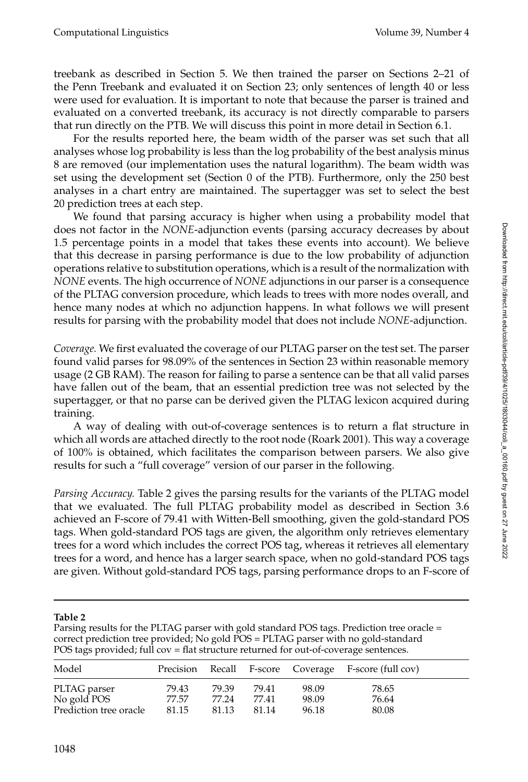treebank as described in Section 5. We then trained the parser on Sections 2–21 of the Penn Treebank and evaluated it on Section 23; only sentences of length 40 or less were used for evaluation. It is important to note that because the parser is trained and evaluated on a converted treebank, its accuracy is not directly comparable to parsers that run directly on the PTB. We will discuss this point in more detail in Section 6.1.

For the results reported here, the beam width of the parser was set such that all analyses whose log probability is less than the log probability of the best analysis minus 8 are removed (our implementation uses the natural logarithm). The beam width was set using the development set (Section 0 of the PTB). Furthermore, only the 250 best analyses in a chart entry are maintained. The supertagger was set to select the best 20 prediction trees at each step.

We found that parsing accuracy is higher when using a probability model that does not factor in the *NONE*-adjunction events (parsing accuracy decreases by about 1.5 percentage points in a model that takes these events into account). We believe that this decrease in parsing performance is due to the low probability of adjunction operations relative to substitution operations, which is a result of the normalization with *NONE* events. The high occurrence of *NONE* adjunctions in our parser is a consequence of the PLTAG conversion procedure, which leads to trees with more nodes overall, and hence many nodes at which no adjunction happens. In what follows we will present results for parsing with the probability model that does not include *NONE*-adjunction.

*Coverage.* We first evaluated the coverage of our PLTAG parser on the test set. The parser found valid parses for 98.09% of the sentences in Section 23 within reasonable memory usage (2 GB RAM). The reason for failing to parse a sentence can be that all valid parses have fallen out of the beam, that an essential prediction tree was not selected by the supertagger, or that no parse can be derived given the PLTAG lexicon acquired during training.

A way of dealing with out-of-coverage sentences is to return a flat structure in which all words are attached directly to the root node (Roark 2001). This way a coverage of 100% is obtained, which facilitates the comparison between parsers. We also give results for such a "full coverage" version of our parser in the following.

*Parsing Accuracy.* Table 2 gives the parsing results for the variants of the PLTAG model that we evaluated. The full PLTAG probability model as described in Section 3.6 achieved an F-score of 79.41 with Witten-Bell smoothing, given the gold-standard POS tags. When gold-standard POS tags are given, the algorithm only retrieves elementary trees for a word which includes the correct POS tag, whereas it retrieves all elementary trees for a word, and hence has a larger search space, when no gold-standard POS tags are given. Without gold-standard POS tags, parsing performance drops to an F-score of

### **Table 2**

Parsing results for the PLTAG parser with gold standard POS tags. Prediction tree oracle = correct prediction tree provided; No gold POS = PLTAG parser with no gold-standard POS tags provided; full cov = flat structure returned for out-of-coverage sentences.

| Model                  | Precision |       |       |       | Recall F-score Coverage F-score (full cov) |
|------------------------|-----------|-------|-------|-------|--------------------------------------------|
| PLTAG parser           | 79.43     | 79.39 | 79.41 | 98.09 | 78.65                                      |
| No gold POS            | 77.57     | 77.24 | 77.41 | 98.09 | 76.64                                      |
| Prediction tree oracle | 81.15     | 81.13 | 81.14 | 96.18 | 80.08                                      |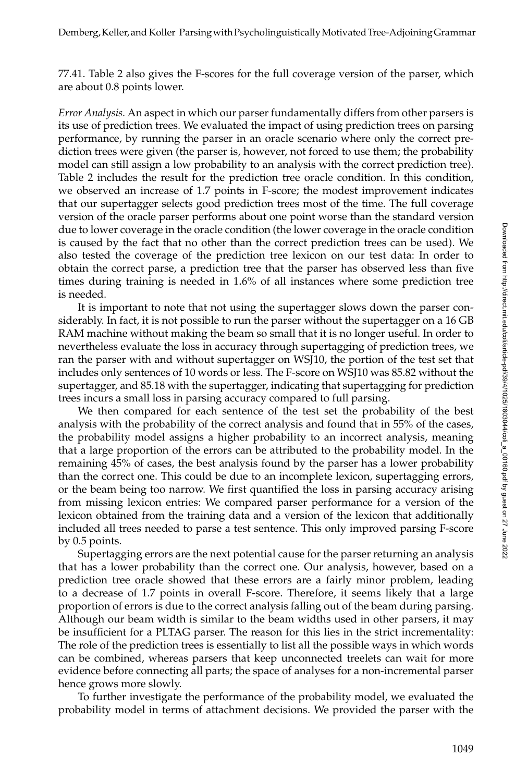77.41. Table 2 also gives the F-scores for the full coverage version of the parser, which are about 0.8 points lower.

*Error Analysis.* An aspect in which our parser fundamentally differs from other parsers is its use of prediction trees. We evaluated the impact of using prediction trees on parsing performance, by running the parser in an oracle scenario where only the correct prediction trees were given (the parser is, however, not forced to use them; the probability model can still assign a low probability to an analysis with the correct prediction tree). Table 2 includes the result for the prediction tree oracle condition. In this condition, we observed an increase of 1.7 points in F-score; the modest improvement indicates that our supertagger selects good prediction trees most of the time. The full coverage version of the oracle parser performs about one point worse than the standard version due to lower coverage in the oracle condition (the lower coverage in the oracle condition is caused by the fact that no other than the correct prediction trees can be used). We also tested the coverage of the prediction tree lexicon on our test data: In order to obtain the correct parse, a prediction tree that the parser has observed less than five times during training is needed in 1.6% of all instances where some prediction tree is needed.

It is important to note that not using the supertagger slows down the parser considerably. In fact, it is not possible to run the parser without the supertagger on a 16 GB RAM machine without making the beam so small that it is no longer useful. In order to nevertheless evaluate the loss in accuracy through supertagging of prediction trees, we ran the parser with and without supertagger on WSJ10, the portion of the test set that includes only sentences of 10 words or less. The F-score on WSJ10 was 85.82 without the supertagger, and 85.18 with the supertagger, indicating that supertagging for prediction trees incurs a small loss in parsing accuracy compared to full parsing.

We then compared for each sentence of the test set the probability of the best analysis with the probability of the correct analysis and found that in 55% of the cases, the probability model assigns a higher probability to an incorrect analysis, meaning that a large proportion of the errors can be attributed to the probability model. In the remaining 45% of cases, the best analysis found by the parser has a lower probability than the correct one. This could be due to an incomplete lexicon, supertagging errors, or the beam being too narrow. We first quantified the loss in parsing accuracy arising from missing lexicon entries: We compared parser performance for a version of the lexicon obtained from the training data and a version of the lexicon that additionally included all trees needed to parse a test sentence. This only improved parsing F-score by 0.5 points.

Supertagging errors are the next potential cause for the parser returning an analysis that has a lower probability than the correct one. Our analysis, however, based on a prediction tree oracle showed that these errors are a fairly minor problem, leading to a decrease of 1.7 points in overall F-score. Therefore, it seems likely that a large proportion of errors is due to the correct analysis falling out of the beam during parsing. Although our beam width is similar to the beam widths used in other parsers, it may be insufficient for a PLTAG parser. The reason for this lies in the strict incrementality: The role of the prediction trees is essentially to list all the possible ways in which words can be combined, whereas parsers that keep unconnected treelets can wait for more evidence before connecting all parts; the space of analyses for a non-incremental parser hence grows more slowly.

To further investigate the performance of the probability model, we evaluated the probability model in terms of attachment decisions. We provided the parser with the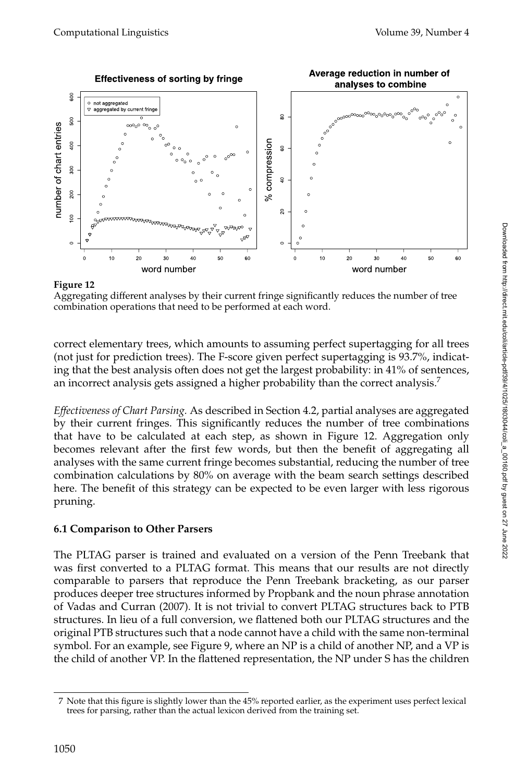

### **Figure 12**

Aggregating different analyses by their current fringe significantly reduces the number of tree combination operations that need to be performed at each word.

correct elementary trees, which amounts to assuming perfect supertagging for all trees (not just for prediction trees). The F-score given perfect supertagging is 93.7%, indicating that the best analysis often does not get the largest probability: in 41% of sentences, an incorrect analysis gets assigned a higher probability than the correct analysis.<sup>7</sup>

*Effectiveness of Chart Parsing.* As described in Section 4.2, partial analyses are aggregated by their current fringes. This significantly reduces the number of tree combinations that have to be calculated at each step, as shown in Figure 12. Aggregation only becomes relevant after the first few words, but then the benefit of aggregating all analyses with the same current fringe becomes substantial, reducing the number of tree combination calculations by 80% on average with the beam search settings described here. The benefit of this strategy can be expected to be even larger with less rigorous pruning.

# **6.1 Comparison to Other Parsers**

The PLTAG parser is trained and evaluated on a version of the Penn Treebank that was first converted to a PLTAG format. This means that our results are not directly comparable to parsers that reproduce the Penn Treebank bracketing, as our parser produces deeper tree structures informed by Propbank and the noun phrase annotation of Vadas and Curran (2007). It is not trivial to convert PLTAG structures back to PTB structures. In lieu of a full conversion, we flattened both our PLTAG structures and the original PTB structures such that a node cannot have a child with the same non-terminal symbol. For an example, see Figure 9, where an NP is a child of another NP, and a VP is the child of another VP. In the flattened representation, the NP under S has the children

<sup>7</sup> Note that this figure is slightly lower than the 45% reported earlier, as the experiment uses perfect lexical trees for parsing, rather than the actual lexicon derived from the training set.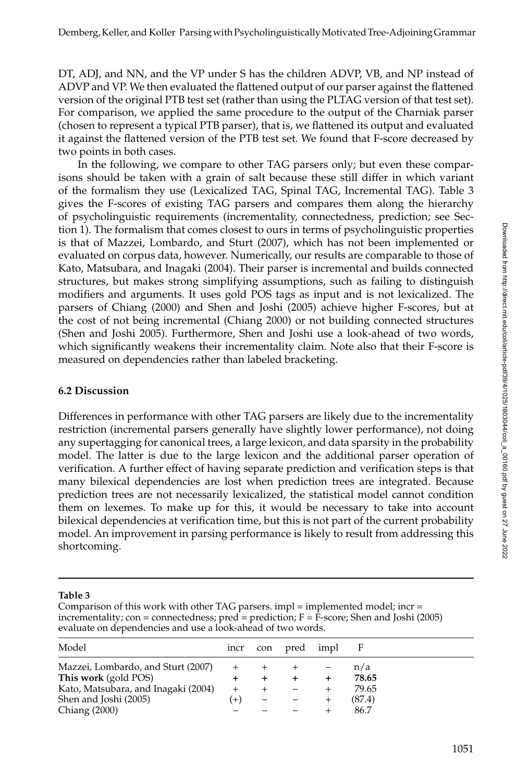DT, ADJ, and NN, and the VP under S has the children ADVP, VB, and NP instead of ADVP and VP. We then evaluated the flattened output of our parser against the flattened version of the original PTB test set (rather than using the PLTAG version of that test set). For comparison, we applied the same procedure to the output of the Charniak parser (chosen to represent a typical PTB parser), that is, we flattened its output and evaluated it against the flattened version of the PTB test set. We found that F-score decreased by two points in both cases.

In the following, we compare to other TAG parsers only; but even these comparisons should be taken with a grain of salt because these still differ in which variant of the formalism they use (Lexicalized TAG, Spinal TAG, Incremental TAG). Table 3 gives the F-scores of existing TAG parsers and compares them along the hierarchy of psycholinguistic requirements (incrementality, connectedness, prediction; see Section 1). The formalism that comes closest to ours in terms of psycholinguistic properties is that of Mazzei, Lombardo, and Sturt (2007), which has not been implemented or evaluated on corpus data, however. Numerically, our results are comparable to those of Kato, Matsubara, and Inagaki (2004). Their parser is incremental and builds connected structures, but makes strong simplifying assumptions, such as failing to distinguish modifiers and arguments. It uses gold POS tags as input and is not lexicalized. The parsers of Chiang (2000) and Shen and Joshi (2005) achieve higher F-scores, but at the cost of not being incremental (Chiang 2000) or not building connected structures (Shen and Joshi 2005). Furthermore, Shen and Joshi use a look-ahead of two words, which significantly weakens their incrementality claim. Note also that their F-score is measured on dependencies rather than labeled bracketing.

#### **6.2 Discussion**

Differences in performance with other TAG parsers are likely due to the incrementality restriction (incremental parsers generally have slightly lower performance), not doing any supertagging for canonical trees, a large lexicon, and data sparsity in the probability model. The latter is due to the large lexicon and the additional parser operation of verification. A further effect of having separate prediction and verification steps is that many bilexical dependencies are lost when prediction trees are integrated. Because prediction trees are not necessarily lexicalized, the statistical model cannot condition them on lexemes. To make up for this, it would be necessary to take into account bilexical dependencies at verification time, but this is not part of the current probability model. An improvement in parsing performance is likely to result from addressing this shortcoming.

#### **Table 3**

Comparison of this work with other TAG parsers.  $impl =$  implemented model; incr = incrementality; con = connectedness;  $pred = prediction$ ;  $F = F-score$ ; Shen and Joshi (2005) evaluate on dependencies and use a look-ahead of two words.

| Model                               | incr  | con | pred | impl |        |  |
|-------------------------------------|-------|-----|------|------|--------|--|
| Mazzei, Lombardo, and Sturt (2007)  |       |     |      |      | n/a    |  |
| This work (gold POS)                |       |     |      |      | 78.65  |  |
| Kato, Matsubara, and Inagaki (2004) |       |     |      |      | 79.65  |  |
| Shen and Joshi (2005)               | $(+)$ |     |      |      | (87.4) |  |
| <b>Chiang (2000)</b>                |       |     |      |      | 86.7   |  |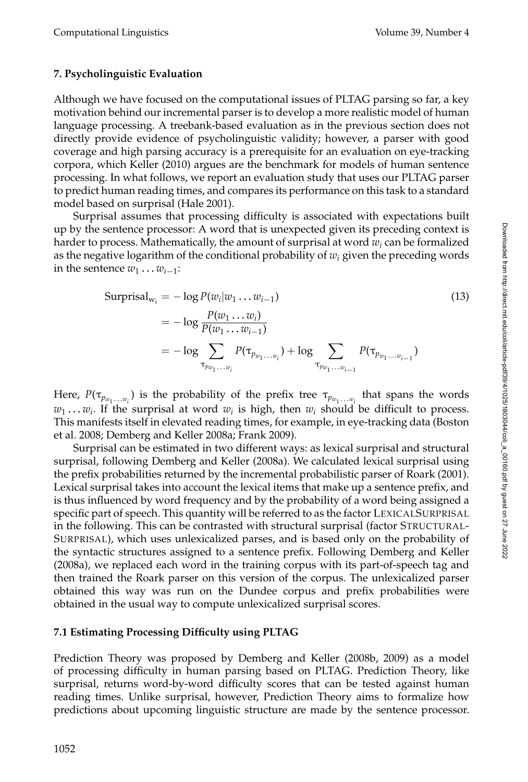### **7. Psycholinguistic Evaluation**

Although we have focused on the computational issues of PLTAG parsing so far, a key motivation behind our incremental parser is to develop a more realistic model of human language processing. A treebank-based evaluation as in the previous section does not directly provide evidence of psycholinguistic validity; however, a parser with good coverage and high parsing accuracy is a prerequisite for an evaluation on eye-tracking corpora, which Keller (2010) argues are the benchmark for models of human sentence processing. In what follows, we report an evaluation study that uses our PLTAG parser to predict human reading times, and compares its performance on this task to a standard model based on surprisal (Hale 2001).

Surprisal assumes that processing difficulty is associated with expectations built up by the sentence processor: A word that is unexpected given its preceding context is harder to process. Mathematically, the amount of surprisal at word *wi* can be formalized as the negative logarithm of the conditional probability of  $w_i$  given the preceding words in the sentence  $w_1 \ldots w_{i-1}$ :

$$
\text{Surprisal}_{w_i} = -\log P(w_i|w_1...w_{i-1})
$$
\n
$$
= -\log \frac{P(w_1...w_i)}{P(w_1...w_{i-1})}
$$
\n
$$
= -\log \sum_{\tau_{pw_1...w_i}} P(\tau_{p_{w_1...w_i}}) + \log \sum_{\tau_{pw_1...w_{i-1}}} P(\tau_{p_{w_1...w_{i-1}}})
$$
\n(13)

Here,  $P(\tau_{p_{w_1...w_i}})$  is the probability of the prefix tree  $\tau_{p_{w_1...w_i}}$  that spans the words  $w_1 \ldots w_i$ . If the surprisal at word  $w_i$  is high, then  $w_i$  should be difficult to process. This manifests itself in elevated reading times, for example, in eye-tracking data (Boston et al. 2008; Demberg and Keller 2008a; Frank 2009).

Surprisal can be estimated in two different ways: as lexical surprisal and structural surprisal, following Demberg and Keller (2008a). We calculated lexical surprisal using the prefix probabilities returned by the incremental probabilistic parser of Roark (2001). Lexical surprisal takes into account the lexical items that make up a sentence prefix, and is thus influenced by word frequency and by the probability of a word being assigned a specific part of speech. This quantity will be referred to as the factor LEXICALSURPRISAL in the following. This can be contrasted with structural surprisal (factor STRUCTURAL-SURPRISAL), which uses unlexicalized parses, and is based only on the probability of the syntactic structures assigned to a sentence prefix. Following Demberg and Keller (2008a), we replaced each word in the training corpus with its part-of-speech tag and then trained the Roark parser on this version of the corpus. The unlexicalized parser obtained this way was run on the Dundee corpus and prefix probabilities were obtained in the usual way to compute unlexicalized surprisal scores.

### **7.1 Estimating Processing Difficulty using PLTAG**

Prediction Theory was proposed by Demberg and Keller (2008b, 2009) as a model of processing difficulty in human parsing based on PLTAG. Prediction Theory, like surprisal, returns word-by-word difficulty scores that can be tested against human reading times. Unlike surprisal, however, Prediction Theory aims to formalize how predictions about upcoming linguistic structure are made by the sentence processor.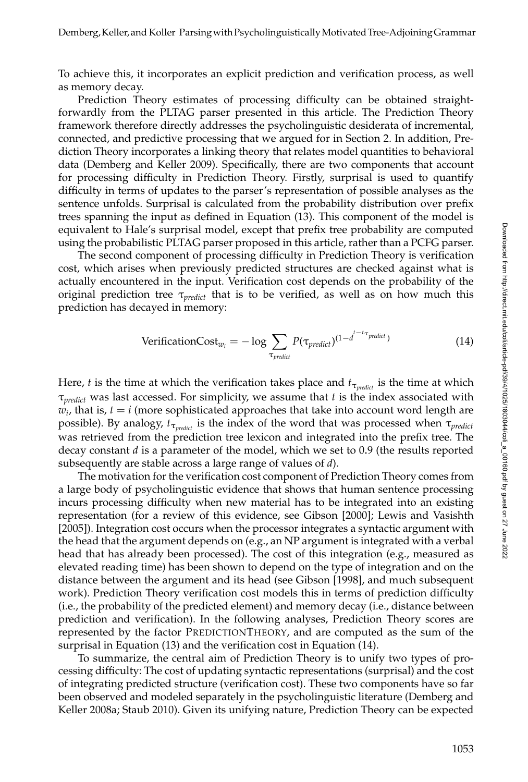To achieve this, it incorporates an explicit prediction and verification process, as well as memory decay.

Prediction Theory estimates of processing difficulty can be obtained straightforwardly from the PLTAG parser presented in this article. The Prediction Theory framework therefore directly addresses the psycholinguistic desiderata of incremental, connected, and predictive processing that we argued for in Section 2. In addition, Prediction Theory incorporates a linking theory that relates model quantities to behavioral data (Demberg and Keller 2009). Specifically, there are two components that account for processing difficulty in Prediction Theory. Firstly, surprisal is used to quantify difficulty in terms of updates to the parser's representation of possible analyses as the sentence unfolds. Surprisal is calculated from the probability distribution over prefix trees spanning the input as defined in Equation (13). This component of the model is equivalent to Hale's surprisal model, except that prefix tree probability are computed using the probabilistic PLTAG parser proposed in this article, rather than a PCFG parser.

The second component of processing difficulty in Prediction Theory is verification cost, which arises when previously predicted structures are checked against what is actually encountered in the input. Verification cost depends on the probability of the original prediction tree τ*predict* that is to be verified, as well as on how much this prediction has decayed in memory:

$$
\text{VerificationCost}_{w_i} = -\log \sum_{\tau_{predict}} P(\tau_{predict})^{(1-d^{t-1}\tau_{predict})} \tag{14}
$$

Here, *t* is the time at which the verification takes place and  $t_{\tau_{predict}}$  is the time at which τ*predict* was last accessed. For simplicity, we assume that *t* is the index associated with  $w_i$ , that is,  $t = i$  (more sophisticated approaches that take into account word length are possible). By analogy, *t*τ*predict* is the index of the word that was processed when τ*predict* was retrieved from the prediction tree lexicon and integrated into the prefix tree. The decay constant *d* is a parameter of the model, which we set to 0.9 (the results reported subsequently are stable across a large range of values of *d*).

The motivation for the verification cost component of Prediction Theory comes from a large body of psycholinguistic evidence that shows that human sentence processing incurs processing difficulty when new material has to be integrated into an existing representation (for a review of this evidence, see Gibson [2000]; Lewis and Vasishth [2005]). Integration cost occurs when the processor integrates a syntactic argument with the head that the argument depends on (e.g., an NP argument is integrated with a verbal head that has already been processed). The cost of this integration (e.g., measured as elevated reading time) has been shown to depend on the type of integration and on the distance between the argument and its head (see Gibson [1998], and much subsequent work). Prediction Theory verification cost models this in terms of prediction difficulty (i.e., the probability of the predicted element) and memory decay (i.e., distance between prediction and verification). In the following analyses, Prediction Theory scores are represented by the factor PREDICTIONTHEORY, and are computed as the sum of the surprisal in Equation (13) and the verification cost in Equation (14).

To summarize, the central aim of Prediction Theory is to unify two types of processing difficulty: The cost of updating syntactic representations (surprisal) and the cost of integrating predicted structure (verification cost). These two components have so far been observed and modeled separately in the psycholinguistic literature (Demberg and Keller 2008a; Staub 2010). Given its unifying nature, Prediction Theory can be expected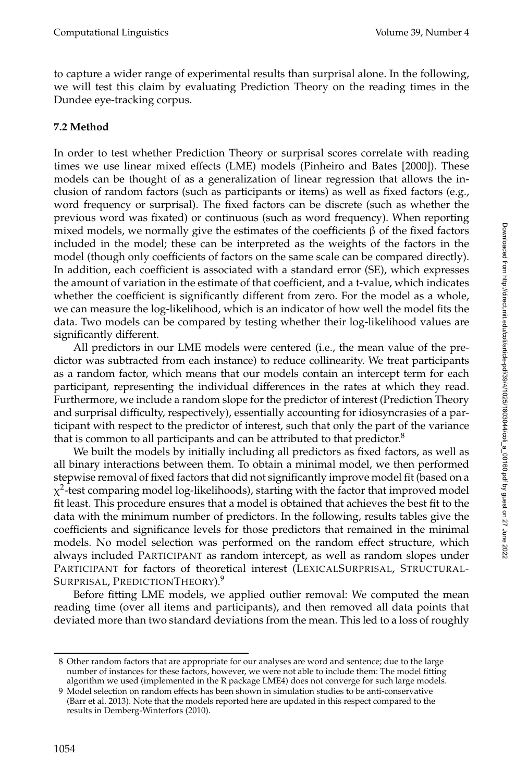to capture a wider range of experimental results than surprisal alone. In the following, we will test this claim by evaluating Prediction Theory on the reading times in the Dundee eye-tracking corpus.

# **7.2 Method**

In order to test whether Prediction Theory or surprisal scores correlate with reading times we use linear mixed effects (LME) models (Pinheiro and Bates [2000]). These models can be thought of as a generalization of linear regression that allows the inclusion of random factors (such as participants or items) as well as fixed factors (e.g., word frequency or surprisal). The fixed factors can be discrete (such as whether the previous word was fixated) or continuous (such as word frequency). When reporting mixed models, we normally give the estimates of the coefficients  $β$  of the fixed factors included in the model; these can be interpreted as the weights of the factors in the model (though only coefficients of factors on the same scale can be compared directly). In addition, each coefficient is associated with a standard error (SE), which expresses the amount of variation in the estimate of that coefficient, and a t-value, which indicates whether the coefficient is significantly different from zero. For the model as a whole, we can measure the log-likelihood, which is an indicator of how well the model fits the data. Two models can be compared by testing whether their log-likelihood values are significantly different.

All predictors in our LME models were centered (i.e., the mean value of the predictor was subtracted from each instance) to reduce collinearity. We treat participants as a random factor, which means that our models contain an intercept term for each participant, representing the individual differences in the rates at which they read. Furthermore, we include a random slope for the predictor of interest (Prediction Theory and surprisal difficulty, respectively), essentially accounting for idiosyncrasies of a participant with respect to the predictor of interest, such that only the part of the variance that is common to all participants and can be attributed to that predictor.<sup>8</sup>

We built the models by initially including all predictors as fixed factors, as well as all binary interactions between them. To obtain a minimal model, we then performed stepwise removal of fixed factors that did not significantly improve model fit (based on a  $\chi^2$ -test comparing model log-likelihoods), starting with the factor that improved model fit least. This procedure ensures that a model is obtained that achieves the best fit to the data with the minimum number of predictors. In the following, results tables give the coefficients and significance levels for those predictors that remained in the minimal models. No model selection was performed on the random effect structure, which always included PARTICIPANT as random intercept, as well as random slopes under PARTICIPANT for factors of theoretical interest (LEXICALSURPRISAL, STRUCTURAL-SURPRISAL, PREDICTIONTHEORY).<sup>9</sup>

Before fitting LME models, we applied outlier removal: We computed the mean reading time (over all items and participants), and then removed all data points that deviated more than two standard deviations from the mean. This led to a loss of roughly

<sup>8</sup> Other random factors that are appropriate for our analyses are word and sentence; due to the large number of instances for these factors, however, we were not able to include them: The model fitting algorithm we used (implemented in the R package LME4) does not converge for such large models.

<sup>9</sup> Model selection on random effects has been shown in simulation studies to be anti-conservative (Barr et al. 2013). Note that the models reported here are updated in this respect compared to the results in Demberg-Winterfors (2010).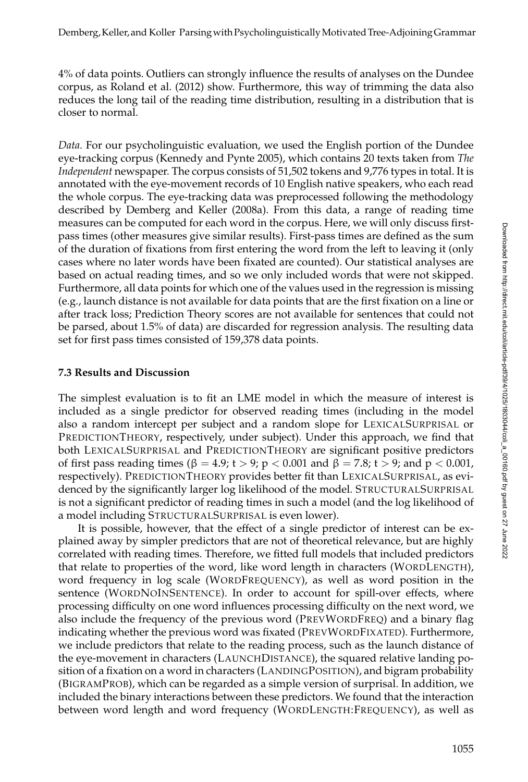4% of data points. Outliers can strongly influence the results of analyses on the Dundee corpus, as Roland et al. (2012) show. Furthermore, this way of trimming the data also reduces the long tail of the reading time distribution, resulting in a distribution that is closer to normal.

*Data.* For our psycholinguistic evaluation, we used the English portion of the Dundee eye-tracking corpus (Kennedy and Pynte 2005), which contains 20 texts taken from *The Independent* newspaper. The corpus consists of 51,502 tokens and 9,776 types in total. It is annotated with the eye-movement records of 10 English native speakers, who each read the whole corpus. The eye-tracking data was preprocessed following the methodology described by Demberg and Keller (2008a). From this data, a range of reading time measures can be computed for each word in the corpus. Here, we will only discuss firstpass times (other measures give similar results). First-pass times are defined as the sum of the duration of fixations from first entering the word from the left to leaving it (only cases where no later words have been fixated are counted). Our statistical analyses are based on actual reading times, and so we only included words that were not skipped. Furthermore, all data points for which one of the values used in the regression is missing (e.g., launch distance is not available for data points that are the first fixation on a line or after track loss; Prediction Theory scores are not available for sentences that could not be parsed, about 1.5% of data) are discarded for regression analysis. The resulting data set for first pass times consisted of 159,378 data points.

### **7.3 Results and Discussion**

The simplest evaluation is to fit an LME model in which the measure of interest is included as a single predictor for observed reading times (including in the model also a random intercept per subject and a random slope for LEXICALSURPRISAL or PREDICTIONTHEORY, respectively, under subject). Under this approach, we find that both LEXICALSURPRISAL and PREDICTIONTHEORY are significant positive predictors of first pass reading times (β = 4.9; t > 9; p < 0.001 and β = 7.8; t > 9; and p < 0.001, respectively). PREDICTIONTHEORY provides better fit than LEXICALSURPRISAL, as evidenced by the significantly larger log likelihood of the model. STRUCTURALSURPRISAL is not a significant predictor of reading times in such a model (and the log likelihood of a model including STRUCTURALSURPRISAL is even lower).

It is possible, however, that the effect of a single predictor of interest can be explained away by simpler predictors that are not of theoretical relevance, but are highly correlated with reading times. Therefore, we fitted full models that included predictors that relate to properties of the word, like word length in characters (WORDLENGTH), word frequency in log scale (WORDFREQUENCY), as well as word position in the sentence (WORDNOINSENTENCE). In order to account for spill-over effects, where processing difficulty on one word influences processing difficulty on the next word, we also include the frequency of the previous word (PREVWORDFREQ) and a binary flag indicating whether the previous word was fixated (PREVWORDFIXATED). Furthermore, we include predictors that relate to the reading process, such as the launch distance of the eye-movement in characters (LAUNCHDISTANCE), the squared relative landing position of a fixation on a word in characters (LANDINGPOSITION), and bigram probability (BIGRAMPROB), which can be regarded as a simple version of surprisal. In addition, we included the binary interactions between these predictors. We found that the interaction between word length and word frequency (WORDLENGTH:FREQUENCY), as well as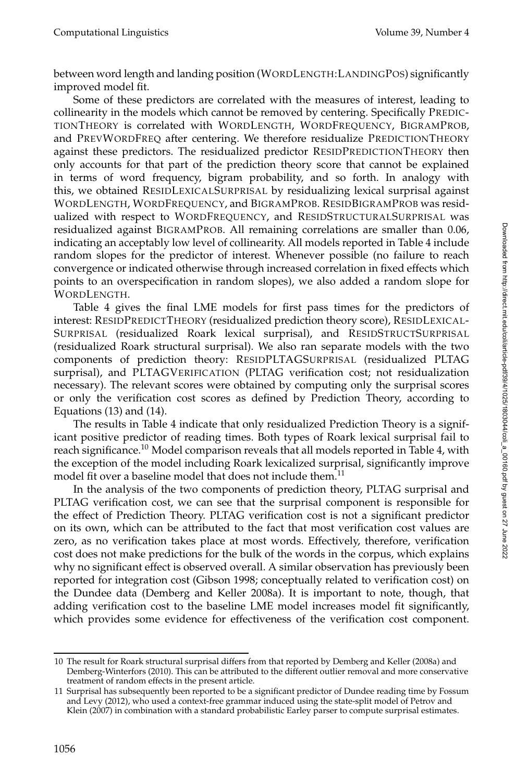between word length and landing position (WORDLENGTH:LANDINGPOS) significantly improved model fit.

Some of these predictors are correlated with the measures of interest, leading to collinearity in the models which cannot be removed by centering. Specifically PREDIC-TIONTHEORY is correlated with WORDLENGTH, WORDFREQUENCY, BIGRAMPROB, and PREVWORDFREQ after centering. We therefore residualize PREDICTIONTHEORY against these predictors. The residualized predictor RESIDPREDICTIONTHEORY then only accounts for that part of the prediction theory score that cannot be explained in terms of word frequency, bigram probability, and so forth. In analogy with this, we obtained RESIDLEXICALSURPRISAL by residualizing lexical surprisal against WORDLENGTH, WORDFREQUENCY, and BIGRAMPROB. RESIDBIGRAMPROB was residualized with respect to WORDFREQUENCY, and RESIDSTRUCTURALSURPRISAL was residualized against BIGRAMPROB. All remaining correlations are smaller than 0.06, indicating an acceptably low level of collinearity. All models reported in Table 4 include random slopes for the predictor of interest. Whenever possible (no failure to reach convergence or indicated otherwise through increased correlation in fixed effects which points to an overspecification in random slopes), we also added a random slope for WORDLENGTH.

Table 4 gives the final LME models for first pass times for the predictors of interest: RESIDPREDICTTHEORY (residualized prediction theory score), RESIDLEXICAL-SURPRISAL (residualized Roark lexical surprisal), and RESIDSTRUCTSURPRISAL (residualized Roark structural surprisal). We also ran separate models with the two components of prediction theory: RESIDPLTAGSURPRISAL (residualized PLTAG surprisal), and PLTAGVERIFICATION (PLTAG verification cost; not residualization necessary). The relevant scores were obtained by computing only the surprisal scores or only the verification cost scores as defined by Prediction Theory, according to Equations (13) and (14).

The results in Table 4 indicate that only residualized Prediction Theory is a significant positive predictor of reading times. Both types of Roark lexical surprisal fail to reach significance.<sup>10</sup> Model comparison reveals that all models reported in Table 4, with the exception of the model including Roark lexicalized surprisal, significantly improve model fit over a baseline model that does not include them.<sup>11</sup>

In the analysis of the two components of prediction theory, PLTAG surprisal and PLTAG verification cost, we can see that the surprisal component is responsible for the effect of Prediction Theory. PLTAG verification cost is not a significant predictor on its own, which can be attributed to the fact that most verification cost values are zero, as no verification takes place at most words. Effectively, therefore, verification cost does not make predictions for the bulk of the words in the corpus, which explains why no significant effect is observed overall. A similar observation has previously been reported for integration cost (Gibson 1998; conceptually related to verification cost) on the Dundee data (Demberg and Keller 2008a). It is important to note, though, that adding verification cost to the baseline LME model increases model fit significantly, which provides some evidence for effectiveness of the verification cost component.

<sup>10</sup> The result for Roark structural surprisal differs from that reported by Demberg and Keller (2008a) and Demberg-Winterfors (2010). This can be attributed to the different outlier removal and more conservative treatment of random effects in the present article.

<sup>11</sup> Surprisal has subsequently been reported to be a significant predictor of Dundee reading time by Fossum and Levy (2012), who used a context-free grammar induced using the state-split model of Petrov and Klein (2007) in combination with a standard probabilistic Earley parser to compute surprisal estimates.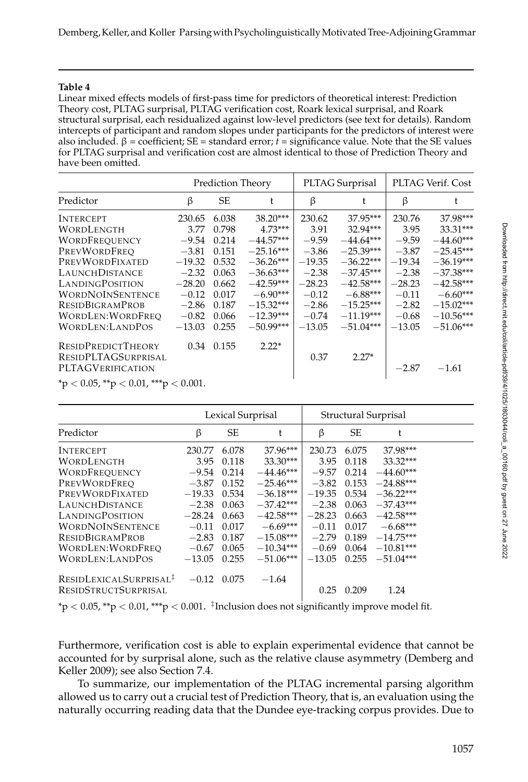### **Table 4**

Linear mixed effects models of first-pass time for predictors of theoretical interest: Prediction Theory cost, PLTAG surprisal, PLTAG verification cost, Roark lexical surprisal, and Roark structural surprisal, each residualized against low-level predictors (see text for details). Random intercepts of participant and random slopes under participants for the predictors of interest were also included.  $β =$  coefficient; SE = standard error;  $t =$  significance value. Note that the SE values for PLTAG surprisal and verification cost are almost identical to those of Prediction Theory and have been omitted.

|                                                                       |          |            | <b>Prediction Theory</b> |          | PLTAG Surprisal | PLTAG Verif. Cost |             |  |
|-----------------------------------------------------------------------|----------|------------|--------------------------|----------|-----------------|-------------------|-------------|--|
| Predictor                                                             | β        | SE         | t                        | β        | t               | β                 | t           |  |
| <b>INTERCEPT</b>                                                      | 230.65   | 6.038      | 38.20***                 | 230.62   | 37.95***        | 230.76            | 37.98***    |  |
| <b>WORDLENGTH</b>                                                     | 3.77     | 0.798      | $4.73***$                | 3.91     | 32.94***        | 3.95              | $33.31***$  |  |
| <b>WORDFREQUENCY</b>                                                  | $-9.54$  | 0.214      | $-44.57***$              | $-9.59$  | $-44.64***$     | $-9.59$           | $-44.60***$ |  |
| PREVWORDFREO                                                          | $-3.81$  | 0.151      | $-25.16***$              | $-3.86$  | $-25.39***$     | $-3.87$           | $-25.45***$ |  |
| PREVWORDFIXATED                                                       | $-19.32$ | 0.532      | $-36.26***$              | $-19.35$ | $-36.22***$     | $-19.34$          | $-36.19***$ |  |
| <b>LAUNCHDISTANCE</b>                                                 | $-2.32$  | 0.063      | $-36.63***$              | $-2.38$  | $-37.45***$     | $-2.38$           | $-37.38***$ |  |
| <b>LANDINGPOSITION</b>                                                | $-28.20$ | 0.662      | $-42.59***$              | $-28.23$ | $-42.58***$     | $-28.23$          | $-42.58***$ |  |
| <b>WORDNOINSENTENCE</b>                                               | $-0.12$  | 0.017      | $-6.90***$               | $-0.12$  | $-6.88***$      | $-0.11$           | $-6.60***$  |  |
| <b>RESIDBIGRAMPROB</b>                                                | $-2.86$  | 0.187      | $-15.32***$              | $-2.86$  | $-15.25***$     | $-2.82$           | $-15.02***$ |  |
| WORDLEN: WORDFREO                                                     | $-0.82$  | 0.066      | $-12.39***$              | $-0.74$  | $-11.19***$     | $-0.68$           | $-10.56***$ |  |
| <b>WORDLEN:LANDPOS</b>                                                | $-13.03$ | 0.255      | $-50.99***$              | $-13.05$ | $-51.04***$     | $-13.05$          | $-51.06***$ |  |
| <b>RESIDPREDICTTHEORY</b><br>RESIDPLTAGSURPRISAL<br>PLTAGVERIFICATION |          | 0.34 0.155 | $2.22*$                  | 0.37     | $2.27*$         | $-2.87$           | $-1.61$     |  |
|                                                                       |          |            |                          |          |                 |                   |             |  |

 $*<sub>p</sub> < 0.05$ ,  $*<sub>p</sub> < 0.01$ ,  $**<sub>p</sub> < 0.001$ .

|                                    |          | Lexical Surprisal |             | Structural Surprisal |       |             |  |
|------------------------------------|----------|-------------------|-------------|----------------------|-------|-------------|--|
| Predictor                          | ß        | <b>SE</b>         | t           | β                    | SE    | t           |  |
| <b>INTERCEPT</b>                   | 230.77   | 6.078             | $37.96***$  | 230.73               | 6.075 | 37.98***    |  |
| WORDLENGTH                         | 3.95     | 0.118             | $33.30***$  | 3.95                 | 0.118 | $33.32***$  |  |
| <b>WORDFREQUENCY</b>               | $-9.54$  | 0.214             | $-44.46***$ | $-9.57$              | 0.214 | $-44.60***$ |  |
| PREVWORDFREO                       | $-3.87$  | 0.152             | $-25.46***$ | $-3.82$              | 0.153 | $-24.88***$ |  |
| <b>PREVWORDFIXATED</b>             | $-19.33$ | 0.534             | $-36.18***$ | $-19.35$             | 0.534 | $-36.22***$ |  |
| <b>LAUNCHDISTANCE</b>              | $-2.38$  | 0.063             | $-37.42***$ | $-2.38$              | 0.063 | $-37.43***$ |  |
| <b>LANDINGPOSITION</b>             | $-28.24$ | 0.663             | $-42.58***$ | $-28.23$             | 0.663 | $-42.58***$ |  |
| <b>WORDNOINSENTENCE</b>            | $-0.11$  | 0.017             | $-6.69***$  | $-0.11$              | 0.017 | $-6.68***$  |  |
| <b>RESIDBIGRAMPROB</b>             | $-2.83$  | 0.187             | $-15.08***$ | $-2.79$              | 0.189 | $-14.75***$ |  |
| <b>WORDLEN: WORDFREO</b>           | $-0.67$  | 0.065             | $-10.34***$ | $-0.69$              | 0.064 | $-10.81***$ |  |
| <b>WORDLEN: LANDPOS</b>            | $-13.05$ | 0.255             | $-51.06***$ | $-13.05$             | 0.255 | $-51.04***$ |  |
| RESIDLEXICALSURPRISAL <sup>‡</sup> | $-0.12$  | 0.075             | $-1.64$     |                      |       |             |  |
| <b>RESIDSTRUCTSURPRISAL</b>        |          |                   |             | 0.25                 | 0.209 | 1.24        |  |

\*p  $<$  0.05, \*\*p  $<$  0.01, \*\*\*p  $<$  0.001. <sup>‡</sup>Inclusion does not significantly improve model fit.

Furthermore, verification cost is able to explain experimental evidence that cannot be accounted for by surprisal alone, such as the relative clause asymmetry (Demberg and Keller 2009); see also Section 7.4.

To summarize, our implementation of the PLTAG incremental parsing algorithm allowed us to carry out a crucial test of Prediction Theory, that is, an evaluation using the naturally occurring reading data that the Dundee eye-tracking corpus provides. Due to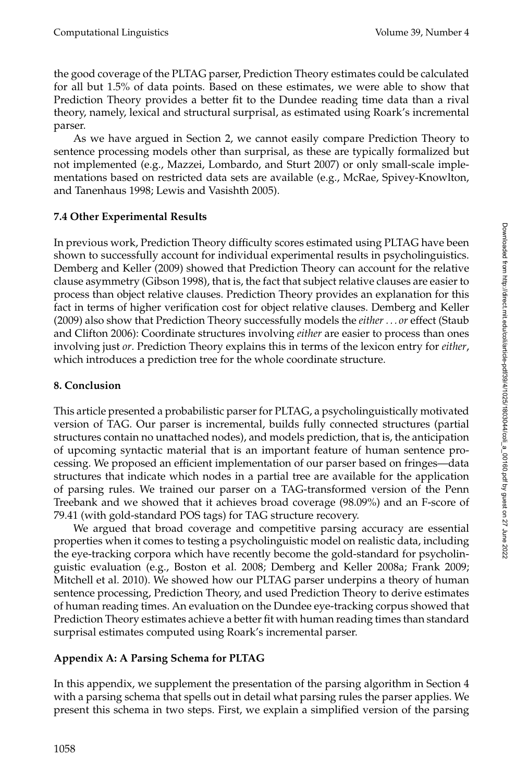the good coverage of the PLTAG parser, Prediction Theory estimates could be calculated for all but 1.5% of data points. Based on these estimates, we were able to show that Prediction Theory provides a better fit to the Dundee reading time data than a rival theory, namely, lexical and structural surprisal, as estimated using Roark's incremental parser.

As we have argued in Section 2, we cannot easily compare Prediction Theory to sentence processing models other than surprisal, as these are typically formalized but not implemented (e.g., Mazzei, Lombardo, and Sturt 2007) or only small-scale implementations based on restricted data sets are available (e.g., McRae, Spivey-Knowlton, and Tanenhaus 1998; Lewis and Vasishth 2005).

# **7.4 Other Experimental Results**

In previous work, Prediction Theory difficulty scores estimated using PLTAG have been shown to successfully account for individual experimental results in psycholinguistics. Demberg and Keller (2009) showed that Prediction Theory can account for the relative clause asymmetry (Gibson 1998), that is, the fact that subject relative clauses are easier to process than object relative clauses. Prediction Theory provides an explanation for this fact in terms of higher verification cost for object relative clauses. Demberg and Keller (2009) also show that Prediction Theory successfully models the *either . . . or* effect (Staub and Clifton 2006): Coordinate structures involving *either* are easier to process than ones involving just *or*. Prediction Theory explains this in terms of the lexicon entry for *either*, which introduces a prediction tree for the whole coordinate structure.

# **8. Conclusion**

This article presented a probabilistic parser for PLTAG, a psycholinguistically motivated version of TAG. Our parser is incremental, builds fully connected structures (partial structures contain no unattached nodes), and models prediction, that is, the anticipation of upcoming syntactic material that is an important feature of human sentence processing. We proposed an efficient implementation of our parser based on fringes—data structures that indicate which nodes in a partial tree are available for the application of parsing rules. We trained our parser on a TAG-transformed version of the Penn Treebank and we showed that it achieves broad coverage (98.09%) and an F-score of 79.41 (with gold-standard POS tags) for TAG structure recovery.

We argued that broad coverage and competitive parsing accuracy are essential properties when it comes to testing a psycholinguistic model on realistic data, including the eye-tracking corpora which have recently become the gold-standard for psycholinguistic evaluation (e.g., Boston et al. 2008; Demberg and Keller 2008a; Frank 2009; Mitchell et al. 2010). We showed how our PLTAG parser underpins a theory of human sentence processing, Prediction Theory, and used Prediction Theory to derive estimates of human reading times. An evaluation on the Dundee eye-tracking corpus showed that Prediction Theory estimates achieve a better fit with human reading times than standard surprisal estimates computed using Roark's incremental parser.

# **Appendix A: A Parsing Schema for PLTAG**

In this appendix, we supplement the presentation of the parsing algorithm in Section 4 with a parsing schema that spells out in detail what parsing rules the parser applies. We present this schema in two steps. First, we explain a simplified version of the parsing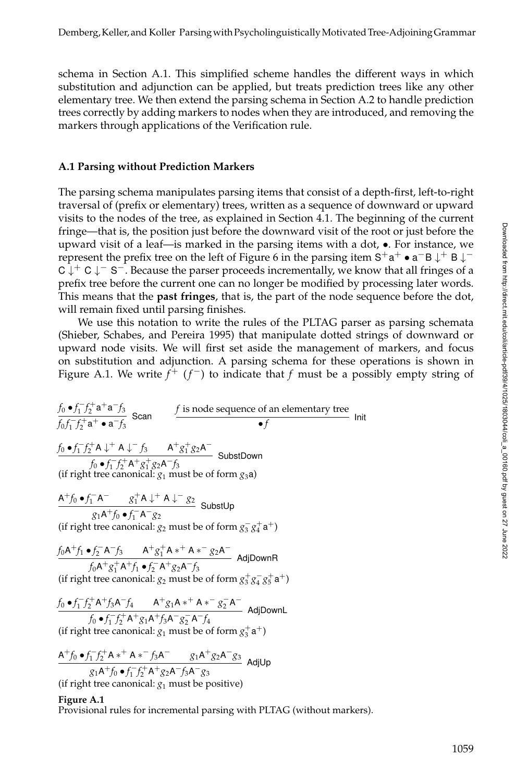schema in Section A.1. This simplified scheme handles the different ways in which substitution and adjunction can be applied, but treats prediction trees like any other elementary tree. We then extend the parsing schema in Section A.2 to handle prediction trees correctly by adding markers to nodes when they are introduced, and removing the markers through applications of the Verification rule.

#### **A.1 Parsing without Prediction Markers**

The parsing schema manipulates parsing items that consist of a depth-first, left-to-right traversal of (prefix or elementary) trees, written as a sequence of downward or upward visits to the nodes of the tree, as explained in Section 4.1. The beginning of the current fringe—that is, the position just before the downward visit of the root or just before the upward visit of a leaf—is marked in the parsing items with a dot, •. For instance, we represent the prefix tree on the left of Figure 6 in the parsing item  $S^+a^+ \cdot a^- B \downarrow^+ B \downarrow^ C \downarrow^+ C \downarrow^- S^-$ . Because the parser proceeds incrementally, we know that all fringes of a prefix tree before the current one can no longer be modified by processing later words. This means that the **past fringes**, that is, the part of the node sequence before the dot, will remain fixed until parsing finishes.

We use this notation to write the rules of the PLTAG parser as parsing schemata (Shieber, Schabes, and Pereira 1995) that manipulate dotted strings of downward or upward node visits. We will first set aside the management of markers, and focus on substitution and adjunction. A parsing schema for these operations is shown in Figure A.1. We write  $f^+(f^-)$  to indicate that  $f$  must be a possibly empty string of

$$
\frac{f_0 \bullet f_1^- f_2^+ \mathsf{a}^+ \mathsf{a}^- f_3}{f_0 f_1^- f_2^+ \mathsf{a}^+ \bullet \mathsf{a}^- f_3}
$$
Scan 
$$
\frac{f \text{ is node sequence of an elementary tree}}{\bullet f}
$$
Init

 $f_0 \bullet f_1^- f_2^+ A \downarrow^+ A \downarrow^- f_3$   $A^+ g_1^+ g_2 A^$  $f_0$  •  $f_1^- f_2^+ A^+ g_1^+ g_2 A^- f_3$  SubstDown (if right tree canonical:  $g_1$  must be of form  $g_3$ a)

A<sup>+</sup>*f*<sub>0</sub> • *f*<sub>1</sub><sup>−</sup>A<sup>−</sup> *g*<sub>1</sub><sup>+</sup>A ↓<sup>+</sup> A ↓<sup>-</sup> *g*<sub>2</sub>  $\frac{G_1}{g_1A+f_0 \bullet f_1^-A-g_2}$  SubstUp (if right tree canonical:  $g_2$  must be of form  $g_3^-g_4^+a^+$ )

$$
\frac{f_0 A^+ f_1 \bullet f_2^- A^- f_3 \qquad A^+ g_1^+ A^{+} + A^{+} g_2 A^-}{f_0 A^+ g_1^+ A^+ f_1 \bullet f_2^- A^+ g_2 A^- f_3}
$$
AdjDownR

(if right tree canonical:  $g_2$  must be of form  $g_3^+g_4^-g_5^+a^+$ )

 $f_0 \bullet f_1^- f_2^+ A^+ f_3 A^- f_4$   $A^+ g_1 A^+ A^+ g_2^- A^ \frac{62}{f_0 \cdot f_1^2 f_2^2 + A^2 g_1 A^2 f_3 A^- g_2^- A^- f_4}$  AdjDownL

(if right tree canonical:  $g_1$  must be of form  $g_3^+$ **a**<sup>+</sup>)

$$
\frac{A^{+} f_{0} \cdot f_{1}^{-} f_{2}^{+} A \cdot A \cdot f_{3} A^{-}}{g_{1} A^{+} f_{0} \cdot f_{1}^{-} f_{2}^{+} A^{+} g_{2} A^{-} f_{3} A^{-}} g_{3}
$$
AdjUp

(if right tree canonical:  $g_1$  must be positive)

#### **Figure A.1**

Provisional rules for incremental parsing with PLTAG (without markers).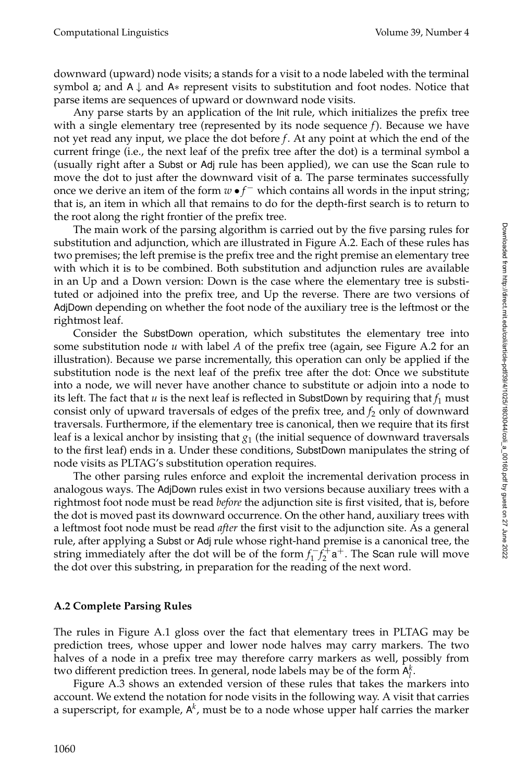downward (upward) node visits; a stands for a visit to a node labeled with the terminal symbol a; and  $A \downarrow$  and A $*$  represent visits to substitution and foot nodes. Notice that parse items are sequences of upward or downward node visits.

Any parse starts by an application of the Init rule, which initializes the prefix tree with a single elementary tree (represented by its node sequence *f*). Because we have not yet read any input, we place the dot before *f*. At any point at which the end of the current fringe (i.e., the next leaf of the prefix tree after the dot) is a terminal symbol a (usually right after a Subst or Adj rule has been applied), we can use the Scan rule to move the dot to just after the downward visit of a. The parse terminates successfully once we derive an item of the form  $w \cdot f^-$  which contains all words in the input string; that is, an item in which all that remains to do for the depth-first search is to return to the root along the right frontier of the prefix tree.

The main work of the parsing algorithm is carried out by the five parsing rules for substitution and adjunction, which are illustrated in Figure A.2. Each of these rules has two premises; the left premise is the prefix tree and the right premise an elementary tree with which it is to be combined. Both substitution and adjunction rules are available in an Up and a Down version: Down is the case where the elementary tree is substituted or adjoined into the prefix tree, and Up the reverse. There are two versions of AdjDown depending on whether the foot node of the auxiliary tree is the leftmost or the rightmost leaf.

Consider the SubstDown operation, which substitutes the elementary tree into some substitution node *u* with label *A* of the prefix tree (again, see Figure A.2 for an illustration). Because we parse incrementally, this operation can only be applied if the substitution node is the next leaf of the prefix tree after the dot: Once we substitute into a node, we will never have another chance to substitute or adjoin into a node to its left. The fact that  $u$  is the next leaf is reflected in SubstDown by requiring that  $f_1$  must consist only of upward traversals of edges of the prefix tree, and  $f_2$  only of downward traversals. Furthermore, if the elementary tree is canonical, then we require that its first leaf is a lexical anchor by insisting that  $g_1$  (the initial sequence of downward traversals to the first leaf) ends in a. Under these conditions, SubstDown manipulates the string of node visits as PLTAG's substitution operation requires.

The other parsing rules enforce and exploit the incremental derivation process in analogous ways. The AdjDown rules exist in two versions because auxiliary trees with a rightmost foot node must be read *before* the adjunction site is first visited, that is, before the dot is moved past its downward occurrence. On the other hand, auxiliary trees with a leftmost foot node must be read *after* the first visit to the adjunction site. As a general rule, after applying a Subst or Adj rule whose right-hand premise is a canonical tree, the string immediately after the dot will be of the form  $f_1^- f_2^+ a^+$ . The Scan rule will move the dot over this substring, in preparation for the reading of the next word.

# **A.2 Complete Parsing Rules**

The rules in Figure A.1 gloss over the fact that elementary trees in PLTAG may be prediction trees, whose upper and lower node halves may carry markers. The two halves of a node in a prefix tree may therefore carry markers as well, possibly from two different prediction trees. In general, node labels may be of the form  $A_l^k$ .

Figure A.3 shows an extended version of these rules that takes the markers into account. We extend the notation for node visits in the following way. A visit that carries a superscript, for example, A*<sup>k</sup>* , must be to a node whose upper half carries the marker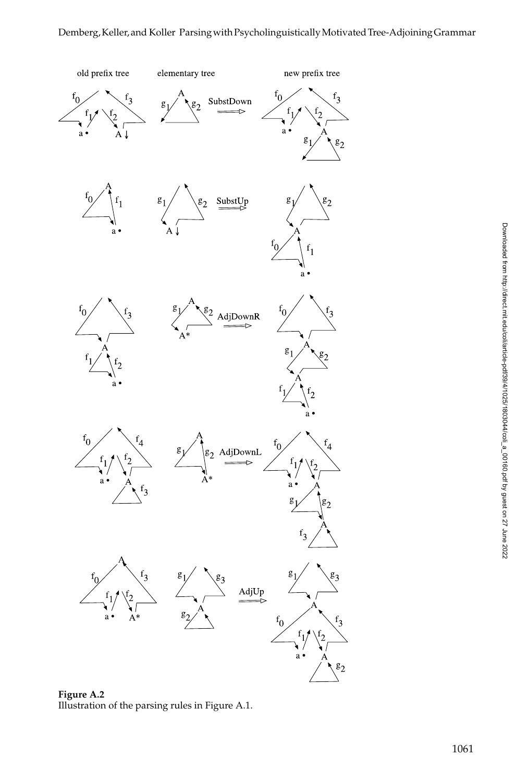

**Figure A.2** Illustration of the parsing rules in Figure A.1.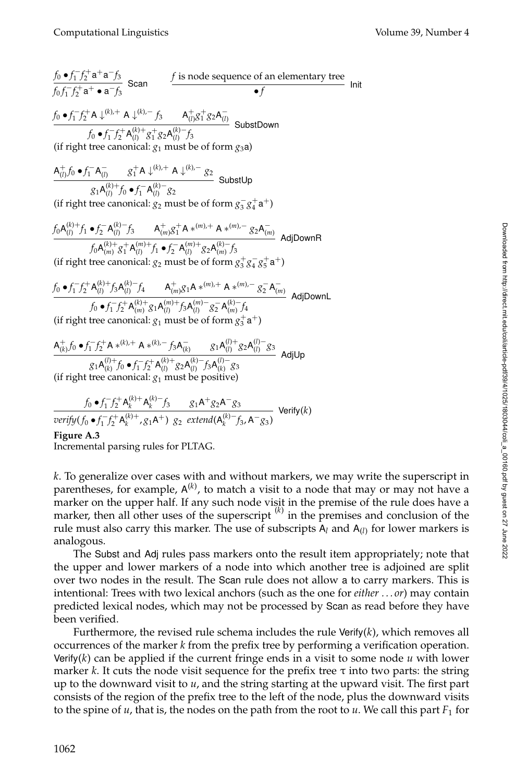$$
\frac{f_0 \bullet f_1^- f_2^+ \mathsf{a}^+ \mathsf{a}^- f_3}{f_0 f_1^- f_2^+ \mathsf{a}^+ \mathsf{a}^- f_3}
$$
Scan 
$$
\frac{f \text{ is node sequence of an elementary tree}}{f}
$$
Init

$$
\frac{f_0 \bullet f_1^- f_2^+ A \downarrow^{(k),+} A \downarrow^{(k),-} f_3 A_{(l)}^+ g_1^+ g_2 A_{(l)}^-}{f_0 \bullet f_1^- f_2^+ A_{(l)}^{(k)+} g_1^+ g_2 A_{(l)}^{(k)-} f_3} \text{SubstDown}
$$

(if right tree canonical:  $g_1$  must be of form  $g_3$ a)

$$
\frac{A_{(l)}^+ f_0 \bullet f_1^- A_{(l)}^-}{g_1 A_{(l)}^{(k)+} f_0 \bullet f_1^- A_{(l)}^{(k)+}} \frac{g_1^+ A \downarrow^{(k),-} A \downarrow^{(k),-}}{g_2}
$$
SubstUp

(if right tree canonical:  $g_2$  must be of form  $g_3^-g_4^+a^+$ )

$$
\frac{f_0 A_{(l)}^{(k)+} f_1 \bullet f_2^- A_{(l)}^{(k)-} f_3 \qquad A_{(m)}^+ g_1^+ A *^{(m),+} A *^{(m),-} g_2 A_{(m)}^-}{f_0 A_{(m)}^{(k)+} g_1^+ A_{(l)}^{(m)+} f_1 \bullet f_2^- A_{(l)}^{(m)+} g_2 A_{(m)}^{(k)-} f_3} \qquad \text{AdjDownR}
$$
\n
$$
\text{AijDownR}
$$
\n
$$
\text{AijDownR}
$$

(if right tree canonical:  $g_2$  must be of form  $g_3^+g_4^-g_5^+$ a<sup>+</sup>)

$$
\frac{f_0 \bullet f_1^- f_2^+ A_{(l)}^{(k)} f_3 A_{(l)}^{(k)} f_4 \qquad A_{(m)}^+ g_1 A \ast^{(m),+} A \ast^{(m),-} g_2^- A_{(m)}^-}{f_0 \bullet f_1^- f_2^+ A_{(m)}^{(k)} g_1 A_{(l)}^{(m)} + f_3 A_{(m)}^{(m)} - g_2^- A_{(m)}^{(k)} f_4}
$$
AdjDownL

(if right tree canonical:  $g_1$  must be of form  $g_3^+$ **a**<sup>+</sup>)

$$
\frac{A_{(k)}^+ f_0 \bullet f_1^- f_2^+ A *^{(k),+} A *^{(k),-} f_3 A_{(k)}^-}{g_1 A_{(k)}^{(l)+} f_0 \bullet f_1^- f_2^+ A_{(l)}^{(k)+} g_2 A_{(l)}^{(l)-} f_3 A_{(k)}^{(l)-} g_3} \text{ AdjUp}
$$

(if right tree canonical:  $g_1$  must be positive)

$$
\frac{f_0 \bullet f_1^- f_2^+ \mathsf{A}_k^{(k)+} \mathsf{A}_k^{(k)-} f_3}{\text{verify}(f_0 \bullet f_1^- f_2^+ \mathsf{A}_k^{(k)+}, g_1 \mathsf{A}^+)
$$
 82 *extend*( $\mathsf{A}_k^{(k)-} f_3, \mathsf{A}^- g_3$ ) Verify(k)

**Figure A.3**

Incremental parsing rules for PLTAG.

*k*. To generalize over cases with and without markers, we may write the superscript in parentheses, for example, A<sup>(k)</sup>, to match a visit to a node that may or may not have a marker on the upper half. If any such node visit in the premise of the rule does have a marker, then all other uses of the superscript  $(k)$  in the premises and conclusion of the rule must also carry this marker. The use of subscripts A*<sup>l</sup>* and A(*l*) for lower markers is analogous.

The Subst and Adj rules pass markers onto the result item appropriately; note that the upper and lower markers of a node into which another tree is adjoined are split over two nodes in the result. The Scan rule does not allow a to carry markers. This is intentional: Trees with two lexical anchors (such as the one for *either . . . or*) may contain predicted lexical nodes, which may not be processed by Scan as read before they have been verified.

Furthermore, the revised rule schema includes the rule Verify(*k*), which removes all occurrences of the marker *k* from the prefix tree by performing a verification operation. Verify(*k*) can be applied if the current fringe ends in a visit to some node *u* with lower marker *k*. It cuts the node visit sequence for the prefix tree  $\tau$  into two parts: the string up to the downward visit to *u*, and the string starting at the upward visit. The first part consists of the region of the prefix tree to the left of the node, plus the downward visits to the spine of  $u$ , that is, the nodes on the path from the root to  $u$ . We call this part  $F_1$  for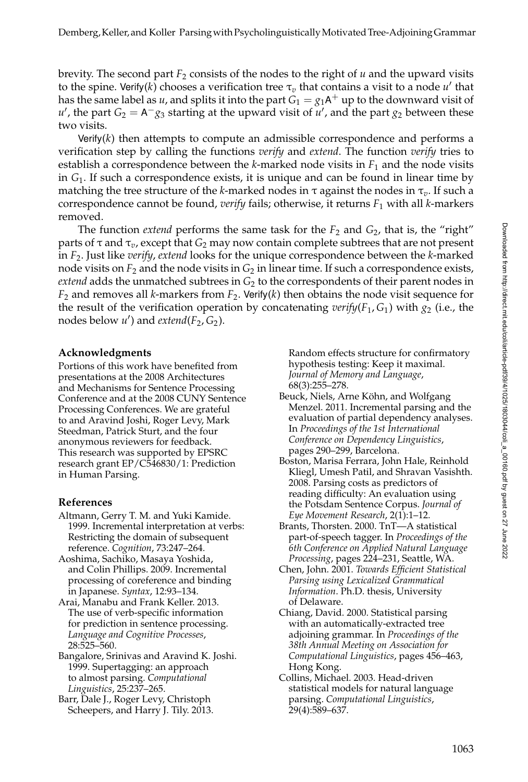brevity. The second part  $F_2$  consists of the nodes to the right of  $u$  and the upward visits to the spine. Verify(*k*) chooses a verification tree  $\tau_v$  that contains a visit to a node  $u'$  that has the same label as *u*, and splits it into the part  $G_1 = g_1 A^+$  up to the downward visit of *u'*, the part  $G_2 = A^-g_3$  starting at the upward visit of *u'*, and the part  $g_2$  between these two visits.

Verify(*k*) then attempts to compute an admissible correspondence and performs a verification step by calling the functions *verify* and *extend*. The function *verify* tries to establish a correspondence between the *k*-marked node visits in  $F_1$  and the node visits in *G*1. If such a correspondence exists, it is unique and can be found in linear time by matching the tree structure of the *k*-marked nodes in  $\tau$  against the nodes in  $\tau_n$ . If such a correspondence cannot be found, *verify* fails; otherwise, it returns *F*<sup>1</sup> with all *k*-markers removed.

The function *extend* performs the same task for the  $F_2$  and  $G_2$ , that is, the "right" parts of  $\tau$  and  $\tau_v$ , except that  $G_2$  may now contain complete subtrees that are not present in *F*2. Just like *verify*, *extend* looks for the unique correspondence between the *k*-marked node visits on  $F_2$  and the node visits in  $G_2$  in linear time. If such a correspondence exists, *extend* adds the unmatched subtrees in  $G_2$  to the correspondents of their parent nodes in  $F_2$  and removes all *k*-markers from  $F_2$ . Verify(*k*) then obtains the node visit sequence for the result of the verification operation by concatenating  $\text{verify}(F_1, G_1)$  with  $g_2$  (i.e., the nodes below *u'*) and *extend*( $F_2$ ,  $G_2$ ).

### **Acknowledgments**

Portions of this work have benefited from presentations at the 2008 Architectures and Mechanisms for Sentence Processing Conference and at the 2008 CUNY Sentence Processing Conferences. We are grateful to and Aravind Joshi, Roger Levy, Mark Steedman, Patrick Sturt, and the four anonymous reviewers for feedback. This research was supported by EPSRC research grant EP/C546830/1: Prediction in Human Parsing.

### **References**

- Altmann, Gerry T. M. and Yuki Kamide. 1999. Incremental interpretation at verbs: Restricting the domain of subsequent reference. *Cognition*, 73:247–264.
- Aoshima, Sachiko, Masaya Yoshida, and Colin Phillips. 2009. Incremental processing of coreference and binding in Japanese. *Syntax*, 12:93–134.
- Arai, Manabu and Frank Keller. 2013. The use of verb-specific information for prediction in sentence processing. *Language and Cognitive Processes*, 28:525–560.
- Bangalore, Srinivas and Aravind K. Joshi. 1999. Supertagging: an approach to almost parsing. *Computational Linguistics*, 25:237–265.
- Barr, Dale J., Roger Levy, Christoph Scheepers, and Harry J. Tily. 2013.

Random effects structure for confirmatory hypothesis testing: Keep it maximal. *Journal of Memory and Language*, 68(3):255–278.

- Beuck, Niels, Arne Köhn, and Wolfgang Menzel. 2011. Incremental parsing and the evaluation of partial dependency analyses. In *Proceedings of the 1st International Conference on Dependency Linguistics*, pages 290–299, Barcelona.
- Boston, Marisa Ferrara, John Hale, Reinhold Kliegl, Umesh Patil, and Shravan Vasishth. 2008. Parsing costs as predictors of reading difficulty: An evaluation using the Potsdam Sentence Corpus. *Journal of Eye Movement Research*, 2(1):1–12.
- Brants, Thorsten. 2000. TnT—A statistical part-of-speech tagger. In *Proceedings of the 6th Conference on Applied Natural Language Processing*, pages 224–231, Seattle, WA.
- Chen, John. 2001. *Towards Efficient Statistical Parsing using Lexicalized Grammatical Information*. Ph.D. thesis, University of Delaware.
- Chiang, David. 2000. Statistical parsing with an automatically-extracted tree adjoining grammar. In *Proceedings of the 38th Annual Meeting on Association for Computational Linguistics*, pages 456–463, Hong Kong.
- Collins, Michael. 2003. Head-driven statistical models for natural language parsing. *Computational Linguistics*, 29(4):589–637.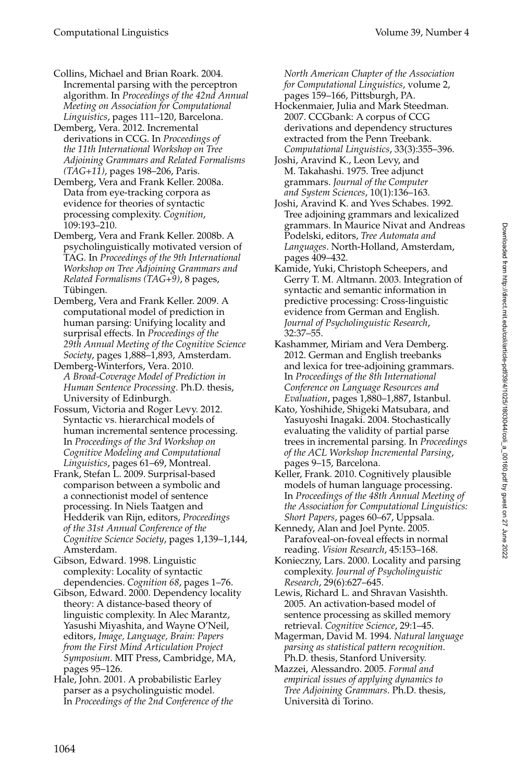- Collins, Michael and Brian Roark. 2004. Incremental parsing with the perceptron algorithm. In *Proceedings of the 42nd Annual Meeting on Association for Computational Linguistics*, pages 111–120, Barcelona.
- Demberg, Vera. 2012. Incremental derivations in CCG. In *Proceedings of the 11th International Workshop on Tree Adjoining Grammars and Related Formalisms (TAG+11)*, pages 198–206, Paris.
- Demberg, Vera and Frank Keller. 2008a. Data from eye-tracking corpora as evidence for theories of syntactic processing complexity. *Cognition*, 109:193–210.
- Demberg, Vera and Frank Keller. 2008b. A psycholinguistically motivated version of TAG. In *Proceedings of the 9th International Workshop on Tree Adjoining Grammars and Related Formalisms (TAG+9)*, 8 pages, Tübingen.
- Demberg, Vera and Frank Keller. 2009. A computational model of prediction in human parsing: Unifying locality and surprisal effects. In *Proceedings of the 29th Annual Meeting of the Cognitive Science Society*, pages 1,888–1,893, Amsterdam.
- Demberg-Winterfors, Vera. 2010. *A Broad-Coverage Model of Prediction in Human Sentence Processing*. Ph.D. thesis, University of Edinburgh.
- Fossum, Victoria and Roger Levy. 2012. Syntactic vs. hierarchical models of human incremental sentence processing. In *Proceedings of the 3rd Workshop on Cognitive Modeling and Computational Linguistics*, pages 61–69, Montreal.
- Frank, Stefan L. 2009. Surprisal-based comparison between a symbolic and a connectionist model of sentence processing. In Niels Taatgen and Hedderik van Rijn, editors, *Proceedings of the 31st Annual Conference of the Cognitive Science Society*, pages 1,139–1,144, Amsterdam.
- Gibson, Edward. 1998. Linguistic complexity: Locality of syntactic dependencies. *Cognition 68*, pages 1–76.
- Gibson, Edward. 2000. Dependency locality theory: A distance-based theory of linguistic complexity. In Alec Marantz, Yasushi Miyashita, and Wayne O'Neil, editors, *Image, Language, Brain: Papers from the First Mind Articulation Project Symposium*. MIT Press, Cambridge, MA, pages 95–126.
- Hale, John. 2001. A probabilistic Earley parser as a psycholinguistic model. In *Proceedings of the 2nd Conference of the*

*North American Chapter of the Association for Computational Linguistics*, volume 2, pages 159–166, Pittsburgh, PA.

- Hockenmaier, Julia and Mark Steedman. 2007. CCGbank: A corpus of CCG derivations and dependency structures extracted from the Penn Treebank. *Computational Linguistics*, 33(3):355–396.
- Joshi, Aravind K., Leon Levy, and M. Takahashi. 1975. Tree adjunct grammars. *Journal of the Computer and System Sciences*, 10(1):136–163.
- Joshi, Aravind K. and Yves Schabes. 1992. Tree adjoining grammars and lexicalized grammars. In Maurice Nivat and Andreas Podelski, editors, *Tree Automata and Languages*. North-Holland, Amsterdam, pages 409–432.
- Kamide, Yuki, Christoph Scheepers, and Gerry T. M. Altmann. 2003. Integration of syntactic and semantic information in predictive processing: Cross-linguistic evidence from German and English. *Journal of Psycholinguistic Research*, 32:37–55.
- Kashammer, Miriam and Vera Demberg. 2012. German and English treebanks and lexica for tree-adjoining grammars. In *Proceedings of the 8th International Conference on Language Resources and Evaluation*, pages 1,880–1,887, Istanbul.
- Kato, Yoshihide, Shigeki Matsubara, and Yasuyoshi Inagaki. 2004. Stochastically evaluating the validity of partial parse trees in incremental parsing. In *Proceedings of the ACL Workshop Incremental Parsing*, pages 9–15, Barcelona.
- Keller, Frank. 2010. Cognitively plausible models of human language processing. In *Proceedings of the 48th Annual Meeting of the Association for Computational Linguistics: Short Papers*, pages 60–67, Uppsala.
- Kennedy, Alan and Joel Pynte. 2005. Parafoveal-on-foveal effects in normal reading. *Vision Research*, 45:153–168.
- Konieczny, Lars. 2000. Locality and parsing complexity. *Journal of Psycholinguistic Research*, 29(6):627–645.
- Lewis, Richard L. and Shravan Vasishth. 2005. An activation-based model of sentence processing as skilled memory retrieval. *Cognitive Science*, 29:1–45.
- Magerman, David M. 1994. *Natural language parsing as statistical pattern recognition*. Ph.D. thesis, Stanford University.
- Mazzei, Alessandro. 2005. *Formal and empirical issues of applying dynamics to Tree Adjoining Grammars*. Ph.D. thesis, Universita di Torino. `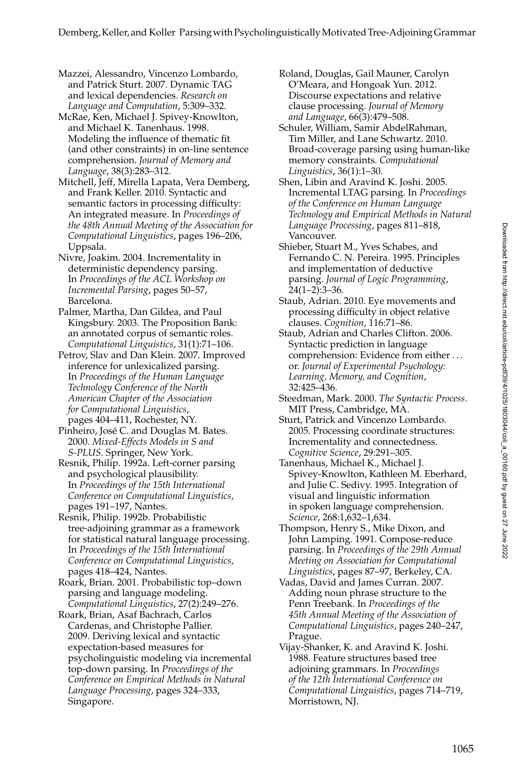- Mazzei, Alessandro, Vincenzo Lombardo, and Patrick Sturt. 2007. Dynamic TAG and lexical dependencies. *Research on Language and Computation*, 5:309–332.
- McRae, Ken, Michael J. Spivey-Knowlton, and Michael K. Tanenhaus. 1998. Modeling the influence of thematic fit (and other constraints) in on-line sentence comprehension. *Journal of Memory and Language*, 38(3):283–312.
- Mitchell, Jeff, Mirella Lapata, Vera Demberg, and Frank Keller. 2010. Syntactic and semantic factors in processing difficulty: An integrated measure. In *Proceedings of the 48th Annual Meeting of the Association for Computational Linguistics*, pages 196–206, Uppsala.
- Nivre, Joakim. 2004. Incrementality in deterministic dependency parsing. In *Proceedings of the ACL Workshop on Incremental Parsing*, pages 50–57, Barcelona.
- Palmer, Martha, Dan Gildea, and Paul Kingsbury. 2003. The Proposition Bank: an annotated corpus of semantic roles. *Computational Linguistics*, 31(1):71–106.

Petrov, Slav and Dan Klein. 2007. Improved inference for unlexicalized parsing. In *Proceedings of the Human Language Technology Conference of the North American Chapter of the Association for Computational Linguistics*, pages 404–411, Rochester, NY.

- Pinheiro, José C. and Douglas M. Bates. 2000. *Mixed-Effects Models in S and S-PLUS*. Springer, New York.
- Resnik, Philip. 1992a. Left-corner parsing and psychological plausibility. In *Proceedings of the 15th International Conference on Computational Linguistics*, pages 191–197, Nantes.
- Resnik, Philip. 1992b. Probabilistic tree-adjoining grammar as a framework for statistical natural language processing. In *Proceedings of the 15th International Conference on Computational Linguistics*, pages 418–424, Nantes.
- Roark, Brian. 2001. Probabilistic top–down parsing and language modeling. *Computational Linguistics*, 27(2):249–276.
- Roark, Brian, Asaf Bachrach, Carlos Cardenas, and Christophe Pallier. 2009. Deriving lexical and syntactic expectation-based measures for psycholinguistic modeling via incremental top-down parsing. In *Proceedings of the Conference on Empirical Methods in Natural Language Processing*, pages 324–333, Singapore.
- Roland, Douglas, Gail Mauner, Carolyn O'Meara, and Hongoak Yun. 2012. Discourse expectations and relative clause processing. *Journal of Memory and Language*, 66(3):479–508.
- Schuler, William, Samir AbdelRahman, Tim Miller, and Lane Schwartz. 2010. Broad-coverage parsing using human-like memory constraints. *Computational Linguistics*, 36(1):1–30.
- Shen, Libin and Aravind K. Joshi. 2005. Incremental LTAG parsing. In *Proceedings of the Conference on Human Language Technology and Empirical Methods in Natural Language Processing*, pages 811–818, Vancouver.
- Shieber, Stuart M., Yves Schabes, and Fernando C. N. Pereira. 1995. Principles and implementation of deductive parsing. *Journal of Logic Programming*,  $\overline{24(1-2)}$ :3-36.
- Staub, Adrian. 2010. Eye movements and processing difficulty in object relative clauses. *Cognition*, 116:71–86.
- Staub, Adrian and Charles Clifton. 2006. Syntactic prediction in language comprehension: Evidence from either . . . or. *Journal of Experimental Psychology: Learning, Memory, and Cognition*, 32:425–436.
- Steedman, Mark. 2000. *The Syntactic Process*. MIT Press, Cambridge, MA.
- Sturt, Patrick and Vincenzo Lombardo. 2005. Processing coordinate structures: Incrementality and connectedness. *Cognitive Science*, 29:291–305.
- Tanenhaus, Michael K., Michael J. Spivey-Knowlton, Kathleen M. Eberhard, and Julie C. Sedivy. 1995. Integration of visual and linguistic information in spoken language comprehension. *Science*, 268:1,632–1,634.
- Thompson, Henry S., Mike Dixon, and John Lamping. 1991. Compose-reduce parsing. In *Proceedings of the 29th Annual Meeting on Association for Computational Linguistics*, pages 87–97, Berkeley, CA.
- Vadas, David and James Curran. 2007. Adding noun phrase structure to the Penn Treebank. In *Proceedings of the 45th Annual Meeting of the Association of Computational Linguistics*, pages 240–247, Prague.
- Vijay-Shanker, K. and Aravind K. Joshi. 1988. Feature structures based tree adjoining grammars. In *Proceedings of the 12th International Conference on Computational Linguistics*, pages 714–719, Morristown, NJ.